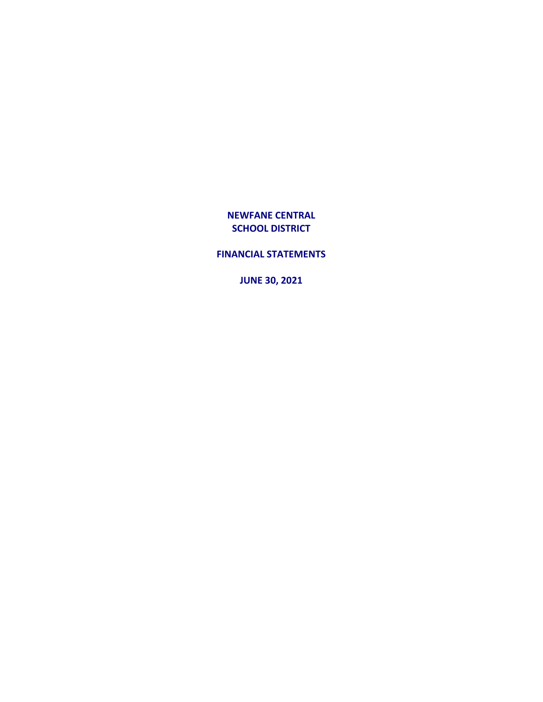**FINANCIAL STATEMENTS**

**JUNE 30, 2021**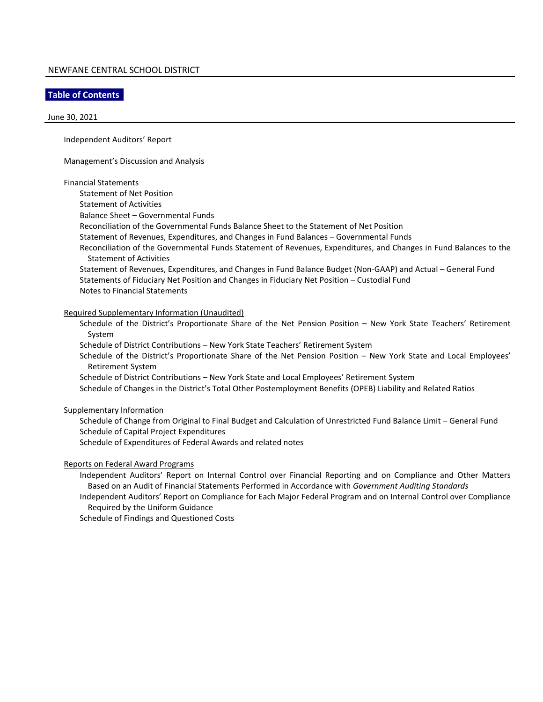#### **Table of Contents**

#### June 30, 2021

Independent Auditors' Report

Management's Discussion and Analysis

#### Financial Statements

Statement of Net Position

Statement of Activities

Balance Sheet – Governmental Funds

Reconciliation of the Governmental Funds Balance Sheet to the Statement of Net Position

Statement of Revenues, Expenditures, and Changes in Fund Balances – Governmental Funds

Reconciliation of the Governmental Funds Statement of Revenues, Expenditures, and Changes in Fund Balances to the Statement of Activities

Statement of Revenues, Expenditures, and Changes in Fund Balance Budget (Non-GAAP) and Actual – General Fund Statements of Fiduciary Net Position and Changes in Fiduciary Net Position – Custodial Fund Notes to Financial Statements

#### Required Supplementary Information (Unaudited)

Schedule of the District's Proportionate Share of the Net Pension Position – New York State Teachers' Retirement System

Schedule of District Contributions – New York State Teachers' Retirement System

Schedule of the District's Proportionate Share of the Net Pension Position – New York State and Local Employees' Retirement System

Schedule of District Contributions – New York State and Local Employees' Retirement System

Schedule of Changes in the District's Total Other Postemployment Benefits (OPEB) Liability and Related Ratios

#### Supplementary Information

Schedule of Change from Original to Final Budget and Calculation of Unrestricted Fund Balance Limit – General Fund Schedule of Capital Project Expenditures

Schedule of Expenditures of Federal Awards and related notes

#### Reports on Federal Award Programs

Independent Auditors' Report on Internal Control over Financial Reporting and on Compliance and Other Matters Based on an Audit of Financial Statements Performed in Accordance with *Government Auditing Standards*

Independent Auditors' Report on Compliance for Each Major Federal Program and on Internal Control over Compliance Required by the Uniform Guidance

Schedule of Findings and Questioned Costs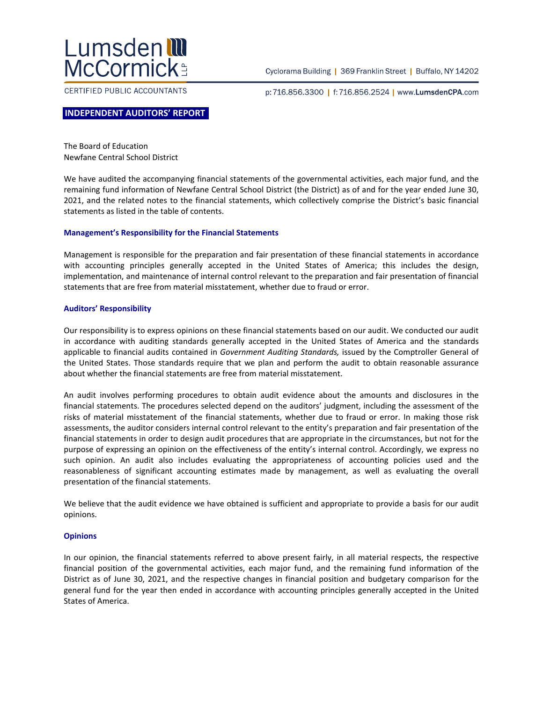

CERTIFIED PUBLIC ACCOUNTANTS

Cyclorama Building | 369 Franklin Street | Buffalo, NY 14202

p:716.856.3300 | f:716.856.2524 | www.LumsdenCPA.com

#### **INDEPENDENT AUDITORS' REPORT**

The Board of Education Newfane Central School District

We have audited the accompanying financial statements of the governmental activities, each major fund, and the remaining fund information of Newfane Central School District (the District) as of and for the year ended June 30, 2021, and the related notes to the financial statements, which collectively comprise the District's basic financial statements as listed in the table of contents.

#### **Management's Responsibility for the Financial Statements**

Management is responsible for the preparation and fair presentation of these financial statements in accordance with accounting principles generally accepted in the United States of America; this includes the design, implementation, and maintenance of internal control relevant to the preparation and fair presentation of financial statements that are free from material misstatement, whether due to fraud or error.

#### **Auditors' Responsibility**

Our responsibility is to express opinions on these financial statements based on our audit. We conducted our audit in accordance with auditing standards generally accepted in the United States of America and the standards applicable to financial audits contained in *Government Auditing Standards,* issued by the Comptroller General of the United States. Those standards require that we plan and perform the audit to obtain reasonable assurance about whether the financial statements are free from material misstatement.

An audit involves performing procedures to obtain audit evidence about the amounts and disclosures in the financial statements. The procedures selected depend on the auditors' judgment, including the assessment of the risks of material misstatement of the financial statements, whether due to fraud or error. In making those risk assessments, the auditor considers internal control relevant to the entity's preparation and fair presentation of the financial statements in order to design audit procedures that are appropriate in the circumstances, but not for the purpose of expressing an opinion on the effectiveness of the entity's internal control. Accordingly, we express no such opinion. An audit also includes evaluating the appropriateness of accounting policies used and the reasonableness of significant accounting estimates made by management, as well as evaluating the overall presentation of the financial statements.

We believe that the audit evidence we have obtained is sufficient and appropriate to provide a basis for our audit opinions.

#### **Opinions**

In our opinion, the financial statements referred to above present fairly, in all material respects, the respective financial position of the governmental activities, each major fund, and the remaining fund information of the District as of June 30, 2021, and the respective changes in financial position and budgetary comparison for the general fund for the year then ended in accordance with accounting principles generally accepted in the United States of America.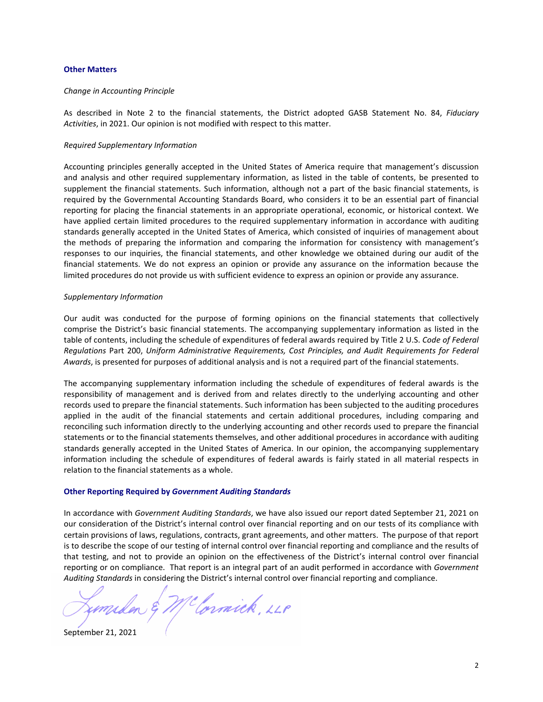#### **Other Matters**

#### *Change in Accounting Principle*

As described in Note 2 to the financial statements, the District adopted GASB Statement No. 84, *Fiduciary Activities*, in 2021. Our opinion is not modified with respect to this matter.

#### *Required Supplementary Information*

Accounting principles generally accepted in the United States of America require that management's discussion and analysis and other required supplementary information, as listed in the table of contents, be presented to supplement the financial statements. Such information, although not a part of the basic financial statements, is required by the Governmental Accounting Standards Board, who considers it to be an essential part of financial reporting for placing the financial statements in an appropriate operational, economic, or historical context. We have applied certain limited procedures to the required supplementary information in accordance with auditing standards generally accepted in the United States of America, which consisted of inquiries of management about the methods of preparing the information and comparing the information for consistency with management's responses to our inquiries, the financial statements, and other knowledge we obtained during our audit of the financial statements. We do not express an opinion or provide any assurance on the information because the limited procedures do not provide us with sufficient evidence to express an opinion or provide any assurance.

#### *Supplementary Information*

Our audit was conducted for the purpose of forming opinions on the financial statements that collectively comprise the District's basic financial statements. The accompanying supplementary information as listed in the table of contents, including the schedule of expenditures of federal awards required by Title 2 U.S. *Code of Federal Regulations* Part 200, *Uniform Administrative Requirements, Cost Principles, and Audit Requirements for Federal Awards*, is presented for purposes of additional analysis and is not a required part of the financial statements.

The accompanying supplementary information including the schedule of expenditures of federal awards is the responsibility of management and is derived from and relates directly to the underlying accounting and other records used to prepare the financial statements. Such information has been subjected to the auditing procedures applied in the audit of the financial statements and certain additional procedures, including comparing and reconciling such information directly to the underlying accounting and other records used to prepare the financial statements or to the financial statements themselves, and other additional procedures in accordance with auditing standards generally accepted in the United States of America. In our opinion, the accompanying supplementary information including the schedule of expenditures of federal awards is fairly stated in all material respects in relation to the financial statements as a whole.

#### **Other Reporting Required by** *Government Auditing Standards*

In accordance with *Government Auditing Standards*, we have also issued our report dated September 21, 2021 on our consideration of the District's internal control over financial reporting and on our tests of its compliance with certain provisions of laws, regulations, contracts, grant agreements, and other matters. The purpose of that report is to describe the scope of our testing of internal control over financial reporting and compliance and the results of that testing, and not to provide an opinion on the effectiveness of the District's internal control over financial reporting or on compliance. That report is an integral part of an audit performed in accordance with *Government Auditing Standards* in considering the District's internal control over financial reporting and compliance.

Clornick, LLP

September 21, 2021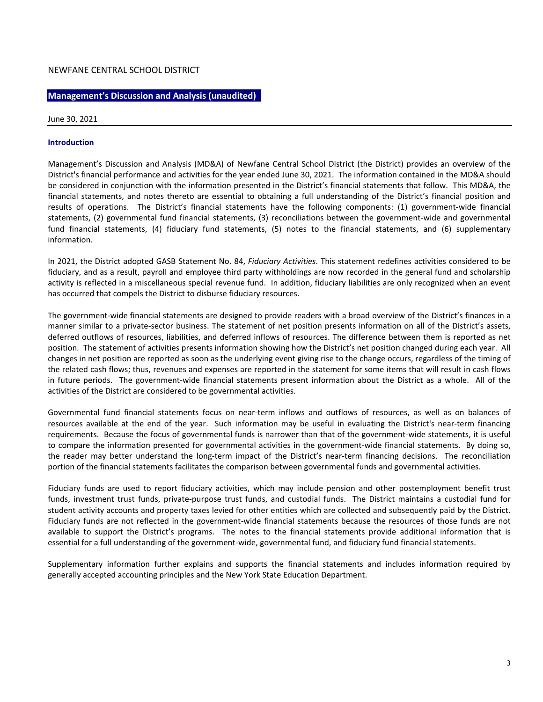#### **Management's Discussion and Analysis (unaudited)**

#### June 30, 2021

#### **Introduction**

Management's Discussion and Analysis (MD&A) of Newfane Central School District (the District) provides an overview of the District's financial performance and activities for the year ended June 30, 2021. The information contained in the MD&A should be considered in conjunction with the information presented in the District's financial statements that follow. This MD&A, the financial statements, and notes thereto are essential to obtaining a full understanding of the District's financial position and results of operations. The District's financial statements have the following components: (1) government-wide financial statements, (2) governmental fund financial statements, (3) reconciliations between the government-wide and governmental fund financial statements, (4) fiduciary fund statements, (5) notes to the financial statements, and (6) supplementary information.

In 2021, the District adopted GASB Statement No. 84, *Fiduciary Activities*. This statement redefines activities considered to be fiduciary, and as a result, payroll and employee third party withholdings are now recorded in the general fund and scholarship activity is reflected in a miscellaneous special revenue fund. In addition, fiduciary liabilities are only recognized when an event has occurred that compels the District to disburse fiduciary resources.

The government-wide financial statements are designed to provide readers with a broad overview of the District's finances in a manner similar to a private-sector business. The statement of net position presents information on all of the District's assets, deferred outflows of resources, liabilities, and deferred inflows of resources. The difference between them is reported as net position*.* The statement of activities presents information showing how the District's net position changed during each year. All changes in net position are reported as soon as the underlying event giving rise to the change occurs, regardless of the timing of the related cash flows; thus, revenues and expenses are reported in the statement for some items that will result in cash flows in future periods. The government-wide financial statements present information about the District as a whole. All of the activities of the District are considered to be governmental activities.

Governmental fund financial statements focus on near-term inflows and outflows of resources, as well as on balances of resources available at the end of the year. Such information may be useful in evaluating the District's near-term financing requirements. Because the focus of governmental funds is narrower than that of the government-wide statements, it is useful to compare the information presented for governmental activities in the government-wide financial statements. By doing so, the reader may better understand the long-term impact of the District's near-term financing decisions. The reconciliation portion of the financial statements facilitates the comparison between governmental funds and governmental activities.

Fiduciary funds are used to report fiduciary activities, which may include pension and other postemployment benefit trust funds, investment trust funds, private-purpose trust funds, and custodial funds. The District maintains a custodial fund for student activity accounts and property taxes levied for other entities which are collected and subsequently paid by the District. Fiduciary funds are not reflected in the government-wide financial statements because the resources of those funds are not available to support the District's programs. The notes to the financial statements provide additional information that is essential for a full understanding of the government-wide, governmental fund, and fiduciary fund financial statements.

Supplementary information further explains and supports the financial statements and includes information required by generally accepted accounting principles and the New York State Education Department.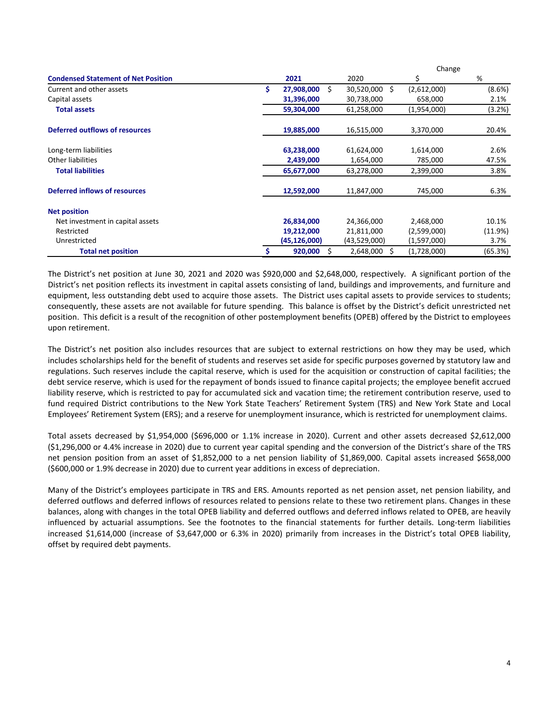|                                            |                        |                 | Change      |           |
|--------------------------------------------|------------------------|-----------------|-------------|-----------|
| <b>Condensed Statement of Net Position</b> | 2021                   | 2020            | \$          | %         |
| Current and other assets                   | \$<br>Ŝ.<br>27,908,000 | 30,520,000 \$   | (2,612,000) | $(8.6\%)$ |
| Capital assets                             | 31,396,000             | 30,738,000      | 658,000     | 2.1%      |
| <b>Total assets</b>                        | 59,304,000             | 61,258,000      | (1,954,000) | $(3.2\%)$ |
| Deferred outflows of resources             | 19,885,000             | 16,515,000      | 3,370,000   | 20.4%     |
| Long-term liabilities                      | 63,238,000             | 61,624,000      | 1,614,000   | 2.6%      |
| Other liabilities                          | 2,439,000              | 1,654,000       | 785,000     | 47.5%     |
| <b>Total liabilities</b>                   | 65,677,000             | 63,278,000      | 2,399,000   | 3.8%      |
| Deferred inflows of resources              | 12,592,000             | 11,847,000      | 745,000     | 6.3%      |
| <b>Net position</b>                        |                        |                 |             |           |
| Net investment in capital assets           | 26,834,000             | 24,366,000      | 2,468,000   | 10.1%     |
| Restricted                                 | 19,212,000             | 21,811,000      | (2,599,000) | (11.9%)   |
| Unrestricted                               | (45, 126, 000)         | (43,529,000)    | (1,597,000) | 3.7%      |
| <b>Total net position</b>                  | 920,000<br>Ś           | 2,648,000<br>S. | (1,728,000) | (65.3%)   |

The District's net position at June 30, 2021 and 2020 was \$920,000 and \$2,648,000, respectively. A significant portion of the District's net position reflects its investment in capital assets consisting of land, buildings and improvements, and furniture and equipment, less outstanding debt used to acquire those assets. The District uses capital assets to provide services to students; consequently, these assets are not available for future spending. This balance is offset by the District's deficit unrestricted net position. This deficit is a result of the recognition of other postemployment benefits (OPEB) offered by the District to employees upon retirement.

The District's net position also includes resources that are subject to external restrictions on how they may be used, which includes scholarships held for the benefit of students and reserves set aside for specific purposes governed by statutory law and regulations. Such reserves include the capital reserve, which is used for the acquisition or construction of capital facilities; the debt service reserve, which is used for the repayment of bonds issued to finance capital projects; the employee benefit accrued liability reserve, which is restricted to pay for accumulated sick and vacation time; the retirement contribution reserve, used to fund required District contributions to the New York State Teachers' Retirement System (TRS) and New York State and Local Employees' Retirement System (ERS); and a reserve for unemployment insurance, which is restricted for unemployment claims.

Total assets decreased by \$1,954,000 (\$696,000 or 1.1% increase in 2020). Current and other assets decreased \$2,612,000 (\$1,296,000 or 4.4% increase in 2020) due to current year capital spending and the conversion of the District's share of the TRS net pension position from an asset of \$1,852,000 to a net pension liability of \$1,869,000. Capital assets increased \$658,000 (\$600,000 or 1.9% decrease in 2020) due to current year additions in excess of depreciation.

Many of the District's employees participate in TRS and ERS. Amounts reported as net pension asset, net pension liability, and deferred outflows and deferred inflows of resources related to pensions relate to these two retirement plans. Changes in these balances, along with changes in the total OPEB liability and deferred outflows and deferred inflows related to OPEB, are heavily influenced by actuarial assumptions. See the footnotes to the financial statements for further details. Long-term liabilities increased \$1,614,000 (increase of \$3,647,000 or 6.3% in 2020) primarily from increases in the District's total OPEB liability, offset by required debt payments.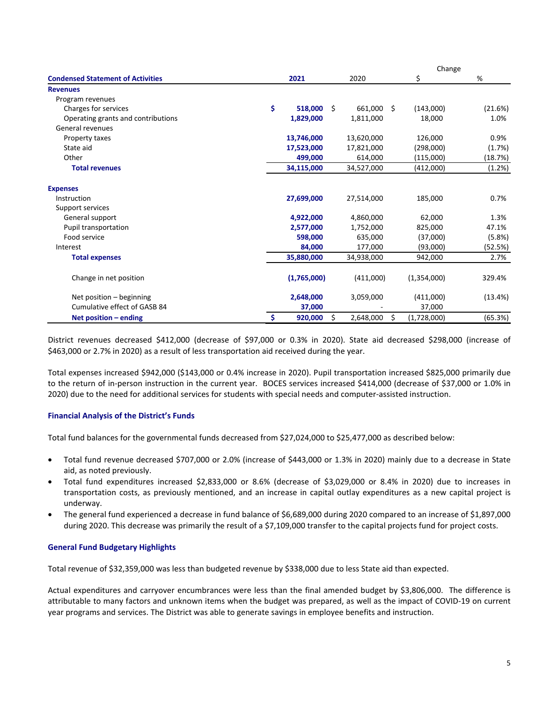|                                          |               |    |            | Change            |         |
|------------------------------------------|---------------|----|------------|-------------------|---------|
| <b>Condensed Statement of Activities</b> | 2021          |    | 2020       | \$                | %       |
| <b>Revenues</b>                          |               |    |            |                   |         |
| Program revenues                         |               |    |            |                   |         |
| Charges for services                     | \$<br>518,000 | Ŝ. | 661,000 \$ | (143,000)         | (21.6%) |
| Operating grants and contributions       | 1,829,000     |    | 1,811,000  | 18,000            | 1.0%    |
| General revenues                         |               |    |            |                   |         |
| Property taxes                           | 13,746,000    |    | 13,620,000 | 126,000           | 0.9%    |
| State aid                                | 17,523,000    |    | 17,821,000 | (298,000)         | (1.7%)  |
| Other                                    | 499,000       |    | 614,000    | (115,000)         | (18.7%) |
| <b>Total revenues</b>                    | 34,115,000    |    | 34,527,000 | (412,000)         | (1.2%)  |
| <b>Expenses</b>                          |               |    |            |                   |         |
| Instruction                              | 27,699,000    |    | 27,514,000 | 185,000           | 0.7%    |
| Support services                         |               |    |            |                   |         |
| General support                          | 4,922,000     |    | 4,860,000  | 62,000            | 1.3%    |
| Pupil transportation                     | 2,577,000     |    | 1,752,000  | 825,000           | 47.1%   |
| Food service                             | 598,000       |    | 635,000    | (37,000)          | (5.8%)  |
| Interest                                 | 84,000        |    | 177,000    | (93,000)          | (52.5%) |
| <b>Total expenses</b>                    | 35,880,000    |    | 34,938,000 | 942,000           | 2.7%    |
| Change in net position                   | (1,765,000)   |    | (411,000)  | (1,354,000)       | 329.4%  |
| Net position - beginning                 | 2,648,000     |    | 3,059,000  | (411,000)         | (13.4%) |
| Cumulative effect of GASB 84             | 37,000        |    |            | 37,000            |         |
| Net position $-$ ending                  | \$<br>920,000 | Ś  | 2,648,000  | \$<br>(1,728,000) | (65.3%) |

District revenues decreased \$412,000 (decrease of \$97,000 or 0.3% in 2020). State aid decreased \$298,000 (increase of \$463,000 or 2.7% in 2020) as a result of less transportation aid received during the year.

Total expenses increased \$942,000 (\$143,000 or 0.4% increase in 2020). Pupil transportation increased \$825,000 primarily due to the return of in-person instruction in the current year. BOCES services increased \$414,000 (decrease of \$37,000 or 1.0% in 2020) due to the need for additional services for students with special needs and computer-assisted instruction.

#### **Financial Analysis of the District's Funds**

Total fund balances for the governmental funds decreased from \$27,024,000 to \$25,477,000 as described below:

- Total fund revenue decreased \$707,000 or 2.0% (increase of \$443,000 or 1.3% in 2020) mainly due to a decrease in State aid, as noted previously.
- Total fund expenditures increased \$2,833,000 or 8.6% (decrease of \$3,029,000 or 8.4% in 2020) due to increases in transportation costs, as previously mentioned, and an increase in capital outlay expenditures as a new capital project is underway.
- The general fund experienced a decrease in fund balance of \$6,689,000 during 2020 compared to an increase of \$1,897,000 during 2020. This decrease was primarily the result of a \$7,109,000 transfer to the capital projects fund for project costs.

#### **General Fund Budgetary Highlights**

Total revenue of \$32,359,000 was less than budgeted revenue by \$338,000 due to less State aid than expected.

Actual expenditures and carryover encumbrances were less than the final amended budget by \$3,806,000. The difference is attributable to many factors and unknown items when the budget was prepared, as well as the impact of COVID-19 on current year programs and services. The District was able to generate savings in employee benefits and instruction.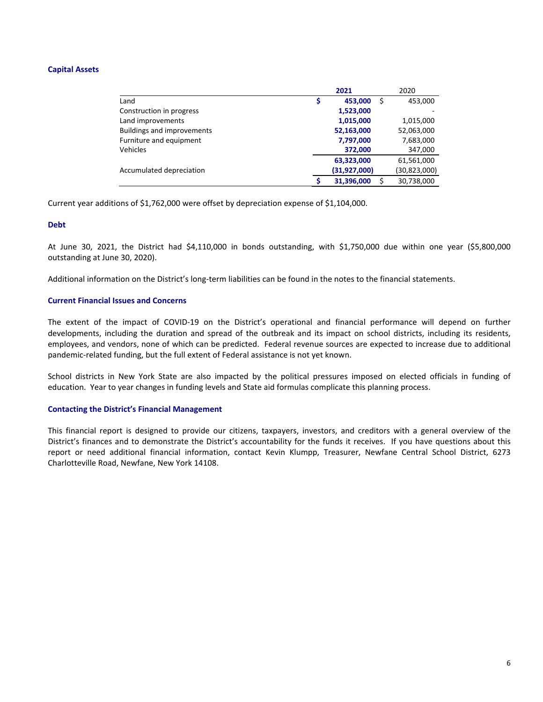#### **Capital Assets**

|                                   |   | 2021         | 2020             |
|-----------------------------------|---|--------------|------------------|
| Land                              | Ş | 453,000      | \$<br>453,000    |
| Construction in progress          |   | 1,523,000    |                  |
| Land improvements                 |   | 1,015,000    | 1,015,000        |
| <b>Buildings and improvements</b> |   | 52,163,000   | 52,063,000       |
| Furniture and equipment           |   | 7,797,000    | 7,683,000        |
| <b>Vehicles</b>                   |   | 372,000      | 347,000          |
|                                   |   | 63,323,000   | 61,561,000       |
| Accumulated depreciation          |   | (31,927,000) | (30,823,000)     |
|                                   |   | 31,396,000   | \$<br>30.738.000 |

Current year additions of \$1,762,000 were offset by depreciation expense of \$1,104,000.

#### **Debt**

At June 30, 2021, the District had \$4,110,000 in bonds outstanding, with \$1,750,000 due within one year (\$5,800,000 outstanding at June 30, 2020).

Additional information on the District's long-term liabilities can be found in the notes to the financial statements.

#### **Current Financial Issues and Concerns**

The extent of the impact of COVID-19 on the District's operational and financial performance will depend on further developments, including the duration and spread of the outbreak and its impact on school districts, including its residents, employees, and vendors, none of which can be predicted. Federal revenue sources are expected to increase due to additional pandemic-related funding, but the full extent of Federal assistance is not yet known.

School districts in New York State are also impacted by the political pressures imposed on elected officials in funding of education. Year to year changes in funding levels and State aid formulas complicate this planning process.

#### **Contacting the District's Financial Management**

This financial report is designed to provide our citizens, taxpayers, investors, and creditors with a general overview of the District's finances and to demonstrate the District's accountability for the funds it receives. If you have questions about this report or need additional financial information, contact Kevin Klumpp, Treasurer, Newfane Central School District, 6273 Charlotteville Road, Newfane, New York 14108.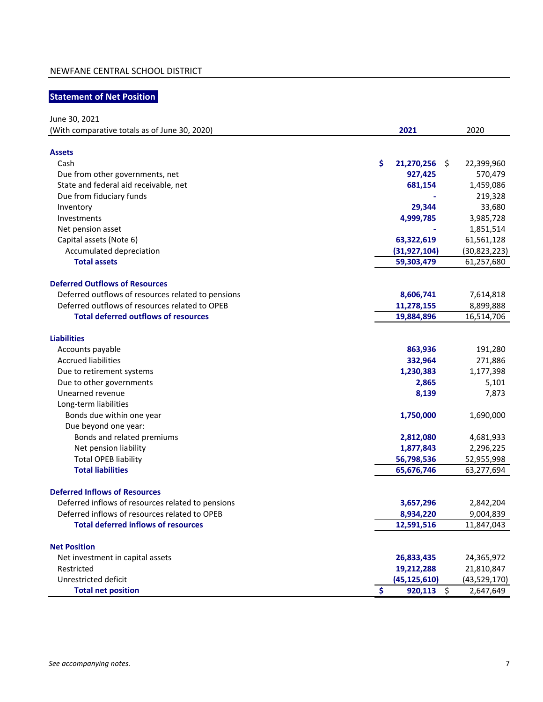## **Statement of Net Position**

June 30, 2021

| (With comparative totals as of June 30, 2020)      | 2021                                | 2020           |
|----------------------------------------------------|-------------------------------------|----------------|
|                                                    |                                     |                |
| <b>Assets</b>                                      |                                     |                |
| Cash                                               | \$<br>$21,270,256$ \$               | 22,399,960     |
| Due from other governments, net                    | 927,425                             | 570,479        |
| State and federal aid receivable, net              | 681,154                             | 1,459,086      |
| Due from fiduciary funds                           |                                     | 219,328        |
| Inventory                                          | 29,344                              | 33,680         |
| Investments                                        | 4,999,785                           | 3,985,728      |
| Net pension asset                                  |                                     | 1,851,514      |
| Capital assets (Note 6)                            | 63,322,619                          | 61,561,128     |
| Accumulated depreciation                           | (31, 927, 104)                      | (30, 823, 223) |
| <b>Total assets</b>                                | 59,303,479                          | 61,257,680     |
| <b>Deferred Outflows of Resources</b>              |                                     |                |
| Deferred outflows of resources related to pensions | 8,606,741                           | 7,614,818      |
| Deferred outflows of resources related to OPEB     | 11,278,155                          | 8,899,888      |
| <b>Total deferred outflows of resources</b>        | 19,884,896                          | 16,514,706     |
|                                                    |                                     |                |
| <b>Liabilities</b>                                 |                                     |                |
| Accounts payable                                   | 863,936                             | 191,280        |
| <b>Accrued liabilities</b>                         | 332,964                             | 271,886        |
| Due to retirement systems                          | 1,230,383                           | 1,177,398      |
| Due to other governments                           | 2,865                               | 5,101          |
| Unearned revenue                                   | 8,139                               | 7,873          |
| Long-term liabilities                              |                                     |                |
| Bonds due within one year                          | 1,750,000                           | 1,690,000      |
| Due beyond one year:                               |                                     |                |
| Bonds and related premiums                         | 2,812,080                           | 4,681,933      |
| Net pension liability                              | 1,877,843                           | 2,296,225      |
| <b>Total OPEB liability</b>                        | 56,798,536                          | 52,955,998     |
| <b>Total liabilities</b>                           | 65,676,746                          | 63,277,694     |
| <b>Deferred Inflows of Resources</b>               |                                     |                |
| Deferred inflows of resources related to pensions  | 3,657,296                           | 2,842,204      |
| Deferred inflows of resources related to OPEB      | 8,934,220                           | 9,004,839      |
| <b>Total deferred inflows of resources</b>         | 12,591,516                          | 11,847,043     |
|                                                    |                                     |                |
| <b>Net Position</b>                                |                                     |                |
| Net investment in capital assets                   | 26,833,435                          | 24,365,972     |
| Restricted                                         | 19,212,288                          | 21,810,847     |
| Unrestricted deficit                               | (45, 125, 610)                      | (43,529,170)   |
| <b>Total net position</b>                          | $\ddot{\bm{\zeta}}$<br>$920,113$ \$ | 2,647,649      |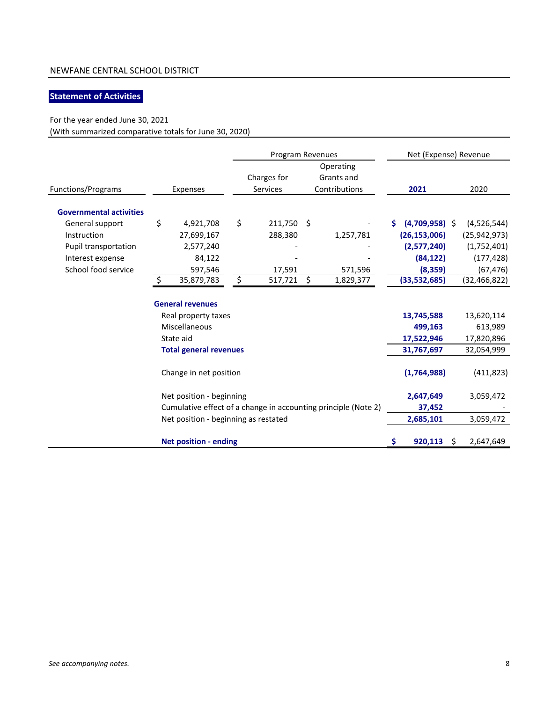## **Statement of Activities**

## For the year ended June 30, 2021

(With summarized comparative totals for June 30, 2020)

|                                |                                      | Program Revenues |                                |    | Net (Expense) Revenue                                          |     |                  |  |                |
|--------------------------------|--------------------------------------|------------------|--------------------------------|----|----------------------------------------------------------------|-----|------------------|--|----------------|
| Functions/Programs             | Expenses                             |                  | Charges for<br><b>Services</b> |    | Operating<br>Grants and<br>Contributions                       |     | 2021             |  | 2020           |
|                                |                                      |                  |                                |    |                                                                |     |                  |  |                |
| <b>Governmental activities</b> |                                      |                  |                                |    |                                                                |     |                  |  |                |
| General support                | \$<br>4,921,708                      | \$               | 211,750 \$                     |    |                                                                |     | $(4,709,958)$ \$ |  | (4,526,544)    |
| Instruction                    | 27,699,167                           |                  | 288,380                        |    | 1,257,781                                                      |     | (26, 153, 006)   |  | (25, 942, 973) |
| Pupil transportation           | 2,577,240                            |                  |                                |    |                                                                |     | (2,577,240)      |  | (1,752,401)    |
| Interest expense               | 84,122                               |                  |                                |    |                                                                |     | (84, 122)        |  | (177, 428)     |
| School food service            | 597,546                              |                  | 17,591                         |    | 571,596                                                        |     | (8, 359)         |  | (67, 476)      |
|                                | \$<br>35,879,783                     | \$               | 517,721                        | \$ | 1,829,377                                                      |     | (33,532,685)     |  | (32, 466, 822) |
|                                | <b>General revenues</b>              |                  |                                |    |                                                                |     |                  |  |                |
|                                | Real property taxes                  |                  |                                |    |                                                                |     | 13,745,588       |  | 13,620,114     |
|                                | Miscellaneous                        |                  |                                |    |                                                                |     | 499,163          |  | 613,989        |
|                                | State aid                            |                  |                                |    |                                                                |     | 17,522,946       |  | 17,820,896     |
|                                | <b>Total general revenues</b>        |                  |                                |    |                                                                |     | 31,767,697       |  | 32,054,999     |
|                                | Change in net position               |                  |                                |    |                                                                |     | (1,764,988)      |  | (411, 823)     |
|                                | Net position - beginning             |                  |                                |    |                                                                |     | 2,647,649        |  | 3,059,472      |
|                                |                                      |                  |                                |    | Cumulative effect of a change in accounting principle (Note 2) |     | 37,452           |  |                |
|                                | Net position - beginning as restated |                  |                                |    |                                                                |     | 2,685,101        |  | 3,059,472      |
|                                | <b>Net position - ending</b>         |                  |                                |    |                                                                | \$. | $920,113$ \$     |  | 2,647,649      |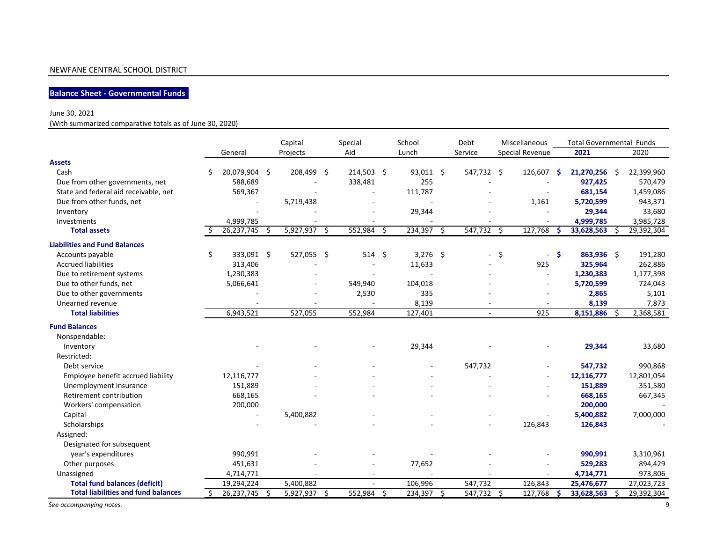## **Balance Sheet - Governmental Funds**

#### June 30, 2021

(With summarized comparative totals as of June 30, 2020)

|                                            |    |               |      | Capital        | Special    |    | School     |      | Debt         |      | Miscellaneous   |    | <b>Total Governmental Funds</b> |    |            |
|--------------------------------------------|----|---------------|------|----------------|------------|----|------------|------|--------------|------|-----------------|----|---------------------------------|----|------------|
|                                            |    | General       |      | Projects       | Aid        |    | Lunch      |      | Service      |      | Special Revenue |    | 2021                            |    | 2020       |
| <b>Assets</b>                              |    |               |      |                |            |    |            |      |              |      |                 |    |                                 |    |            |
| Cash                                       | Ś  | 20,079,904 \$ |      | 208,499 \$     | 214,503 \$ |    | 93,011 \$  |      | 547,732 \$   |      | 126,607         | Ŝ. | 21,270,256                      | -Ś | 22,399,960 |
| Due from other governments, net            |    | 588,689       |      |                | 338,481    |    | 255        |      |              |      |                 |    | 927,425                         |    | 570,479    |
| State and federal aid receivable, net      |    | 569,367       |      |                |            |    | 111,787    |      |              |      |                 |    | 681,154                         |    | 1,459,086  |
| Due from other funds, net                  |    |               |      | 5,719,438      |            |    |            |      |              |      | 1,161           |    | 5,720,599                       |    | 943,371    |
| Inventory                                  |    |               |      |                |            |    | 29,344     |      |              |      |                 |    | 29,344                          |    | 33,680     |
| Investments                                |    | 4,999,785     |      |                |            |    |            |      |              |      |                 |    | 4,999,785                       |    | 3,985,728  |
| <b>Total assets</b>                        |    | 26,237,745    | - \$ | $5,927,937$ \$ | 552,984    | -Ŝ | 234,397    | - \$ | 547,732 \$   |      | 127,768         | -Ś | 33,628,563                      | -S | 29,392,304 |
| <b>Liabilities and Fund Balances</b>       |    |               |      |                |            |    |            |      |              |      |                 |    |                                 |    |            |
| Accounts payable                           | \$ | 333,091 \$    |      | 527,055 \$     | 514        | Ŝ. | $3,276$ \$ |      |              | - \$ | $\sim$          | -Ś | 863,936 \$                      |    | 191,280    |
| <b>Accrued liabilities</b>                 |    | 313,406       |      |                |            |    | 11,633     |      |              |      | 925             |    | 325,964                         |    | 262,886    |
| Due to retirement systems                  |    | 1,230,383     |      |                |            |    |            |      |              |      |                 |    | 1,230,383                       |    | 1,177,398  |
| Due to other funds, net                    |    | 5,066,641     |      |                | 549,940    |    | 104,018    |      |              |      |                 |    | 5,720,599                       |    | 724,043    |
| Due to other governments                   |    |               |      |                | 2,530      |    | 335        |      |              |      |                 |    | 2,865                           |    | 5,101      |
| Unearned revenue                           |    |               |      |                |            |    | 8,139      |      |              |      |                 |    | 8,139                           |    | 7,873      |
| <b>Total liabilities</b>                   |    | 6,943,521     |      | 527,055        | 552,984    |    | 127,401    |      | $\sim$       |      | 925             |    | 8,151,886                       | -Ś | 2,368,581  |
| <b>Fund Balances</b>                       |    |               |      |                |            |    |            |      |              |      |                 |    |                                 |    |            |
| Nonspendable:                              |    |               |      |                |            |    |            |      |              |      |                 |    |                                 |    |            |
| Inventory                                  |    |               |      |                |            |    | 29,344     |      |              |      |                 |    | 29,344                          |    | 33,680     |
| Restricted:                                |    |               |      |                |            |    |            |      |              |      |                 |    |                                 |    |            |
| Debt service                               |    |               |      |                |            |    |            |      | 547,732      |      |                 |    | 547,732                         |    | 990,868    |
| Employee benefit accrued liability         |    | 12,116,777    |      |                |            |    |            |      |              |      |                 |    | 12,116,777                      |    | 12,801,054 |
| Unemployment insurance                     |    | 151,889       |      |                |            |    |            |      |              |      |                 |    | 151,889                         |    | 351,580    |
| Retirement contribution                    |    | 668,165       |      |                |            |    |            |      |              |      |                 |    | 668,165                         |    | 667,345    |
| Workers' compensation                      |    | 200,000       |      |                |            |    |            |      |              |      |                 |    | 200,000                         |    |            |
| Capital                                    |    |               |      | 5,400,882      |            |    |            |      |              |      |                 |    | 5,400,882                       |    | 7,000,000  |
| Scholarships                               |    |               |      |                |            |    |            |      |              |      | 126,843         |    | 126,843                         |    |            |
| Assigned:                                  |    |               |      |                |            |    |            |      |              |      |                 |    |                                 |    |            |
| Designated for subsequent                  |    |               |      |                |            |    |            |      |              |      |                 |    |                                 |    |            |
| year's expenditures                        |    | 990,991       |      |                |            |    |            |      |              |      |                 |    | 990,991                         |    | 3,310,961  |
| Other purposes                             |    | 451,631       |      |                |            |    | 77,652     |      |              |      |                 |    | 529,283                         |    | 894,429    |
| Unassigned                                 |    | 4,714,771     |      |                |            |    |            |      |              |      |                 |    | 4,714,771                       |    | 973,806    |
| <b>Total fund balances (deficit)</b>       |    | 19,294,224    |      | 5,400,882      |            |    | 106,996    |      | 547,732      |      | 126,843         |    | 25,476,677                      |    | 27,023,723 |
| <b>Total liabilities and fund balances</b> | Ŝ. | 26,237,745    | - \$ | 5,927,937 \$   | 552,984    | Ŝ. | 234,397    | -Ś   | $547,732$ \$ |      | 127,768         | -S | 33,628,563                      | S. | 29,392,304 |
| See accompanying notes.                    |    |               |      |                |            |    |            |      |              |      |                 |    |                                 |    | 9          |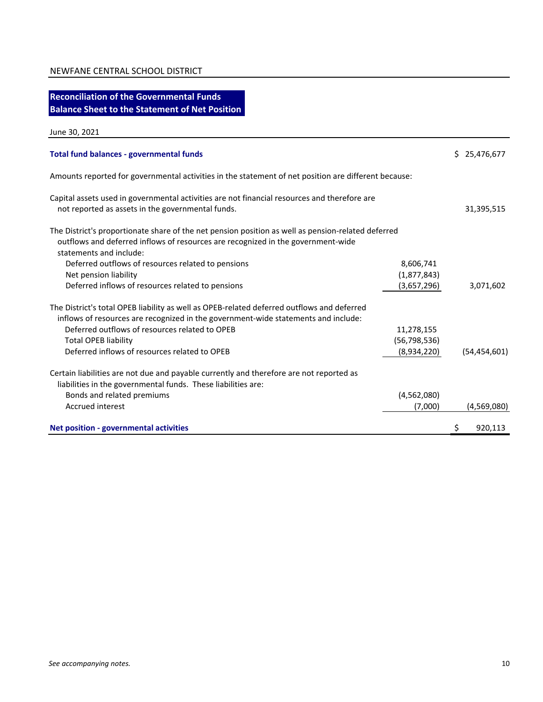| <b>Reconciliation of the Governmental Funds</b>                                                                                                                                                                                                                                                                    |                                             |                |
|--------------------------------------------------------------------------------------------------------------------------------------------------------------------------------------------------------------------------------------------------------------------------------------------------------------------|---------------------------------------------|----------------|
| <b>Balance Sheet to the Statement of Net Position</b>                                                                                                                                                                                                                                                              |                                             |                |
| June 30, 2021                                                                                                                                                                                                                                                                                                      |                                             |                |
| <b>Total fund balances - governmental funds</b>                                                                                                                                                                                                                                                                    |                                             | \$25,476,677   |
| Amounts reported for governmental activities in the statement of net position are different because:                                                                                                                                                                                                               |                                             |                |
| Capital assets used in governmental activities are not financial resources and therefore are<br>not reported as assets in the governmental funds.                                                                                                                                                                  |                                             | 31,395,515     |
| The District's proportionate share of the net pension position as well as pension-related deferred<br>outflows and deferred inflows of resources are recognized in the government-wide<br>statements and include:                                                                                                  |                                             |                |
| Deferred outflows of resources related to pensions<br>Net pension liability<br>Deferred inflows of resources related to pensions                                                                                                                                                                                   | 8,606,741<br>(1,877,843)<br>(3,657,296)     | 3,071,602      |
| The District's total OPEB liability as well as OPEB-related deferred outflows and deferred<br>inflows of resources are recognized in the government-wide statements and include:<br>Deferred outflows of resources related to OPEB<br><b>Total OPEB liability</b><br>Deferred inflows of resources related to OPEB | 11,278,155<br>(56, 798, 536)<br>(8,934,220) | (54, 454, 601) |
| Certain liabilities are not due and payable currently and therefore are not reported as<br>liabilities in the governmental funds. These liabilities are:<br>Bonds and related premiums<br><b>Accrued interest</b>                                                                                                  | (4,562,080)<br>(7,000)                      | (4,569,080)    |
| Net position - governmental activities                                                                                                                                                                                                                                                                             |                                             | \$<br>920,113  |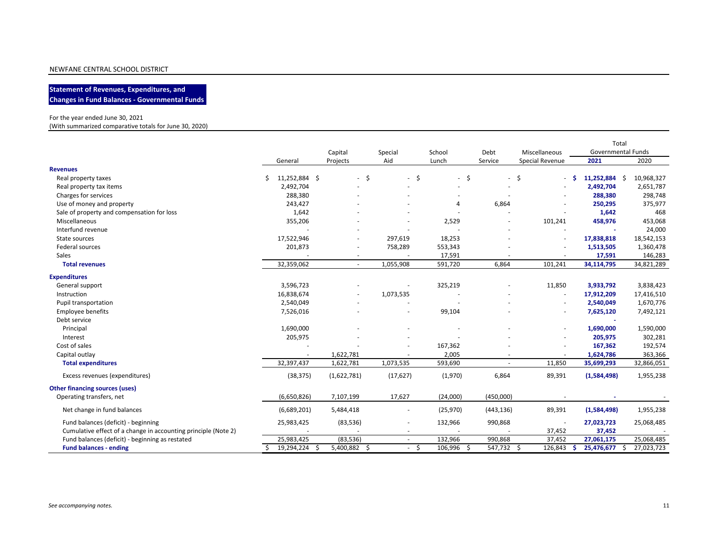**Statement of Revenues, Expenditures, and Changes in Fund Balances - Governmental Funds**

#### For the year ended June 30, 2021

(With summarized comparative totals for June 30, 2020)

|                                                                |    |               |                          |                          |                      |                          |                          | Total              |            |
|----------------------------------------------------------------|----|---------------|--------------------------|--------------------------|----------------------|--------------------------|--------------------------|--------------------|------------|
|                                                                |    |               | Capital                  | Special                  | School               | Debt                     | Miscellaneous            | Governmental Funds |            |
|                                                                |    | General       | Projects                 | Aid                      | Lunch                | Service                  | Special Revenue          | 2021               | 2020       |
| <b>Revenues</b>                                                |    |               |                          |                          |                      |                          |                          |                    |            |
| Real property taxes                                            | Ś  | 11,252,884 \$ | \$<br>$\sim$             | \$<br>$\sim$             | \$<br>$\overline{a}$ | $\overline{\phantom{a}}$ | Ś.<br>÷.                 | 11,252,884 \$      | 10,968,327 |
| Real property tax items                                        |    | 2,492,704     |                          |                          |                      |                          |                          | 2,492,704          | 2,651,787  |
| Charges for services                                           |    | 288,380       |                          |                          |                      |                          |                          | 288,380            | 298,748    |
| Use of money and property                                      |    | 243,427       |                          |                          | 4                    | 6,864                    |                          | 250,295            | 375,977    |
| Sale of property and compensation for loss                     |    | 1,642         |                          |                          |                      |                          |                          | 1,642              | 468        |
| Miscellaneous                                                  |    | 355,206       |                          |                          | 2,529                | ٠                        | 101,241                  | 458,976            | 453,068    |
| Interfund revenue                                              |    |               |                          |                          |                      |                          | ٠                        |                    | 24,000     |
| State sources                                                  |    | 17,522,946    |                          | 297,619                  | 18,253               |                          | $\overline{\phantom{a}}$ | 17,838,818         | 18,542,153 |
| Federal sources                                                |    | 201,873       | $\overline{\phantom{a}}$ | 758,289                  | 553,343              |                          | $\overline{\phantom{a}}$ | 1,513,505          | 1,360,478  |
| Sales                                                          |    |               | $\overline{\phantom{a}}$ |                          | 17,591               |                          | ٠                        | 17,591             | 146,283    |
| <b>Total revenues</b>                                          |    | 32,359,062    | $\overline{\phantom{a}}$ | 1,055,908                | 591,720              | 6,864                    | 101,241                  | 34,114,795         | 34,821,289 |
| <b>Expenditures</b>                                            |    |               |                          |                          |                      |                          |                          |                    |            |
| General support                                                |    | 3,596,723     |                          |                          | 325,219              |                          | 11,850                   | 3,933,792          | 3,838,423  |
| Instruction                                                    |    | 16,838,674    |                          | 1,073,535                |                      |                          | $\sim$                   | 17,912,209         | 17,416,510 |
| Pupil transportation                                           |    | 2,540,049     |                          |                          |                      |                          |                          | 2,540,049          | 1,670,776  |
| <b>Employee benefits</b>                                       |    | 7,526,016     |                          |                          | 99,104               |                          | ٠                        | 7,625,120          | 7,492,121  |
| Debt service                                                   |    |               |                          |                          |                      |                          |                          |                    |            |
| Principal                                                      |    | 1,690,000     |                          |                          |                      |                          | ٠                        | 1,690,000          | 1,590,000  |
| Interest                                                       |    | 205,975       |                          |                          |                      |                          | ٠                        | 205,975            | 302,281    |
| Cost of sales                                                  |    |               |                          |                          | 167,362              |                          | $\overline{\phantom{m}}$ | 167,362            | 192,574    |
| Capital outlay                                                 |    |               | 1,622,781                |                          | 2,005                |                          |                          | 1,624,786          | 363,366    |
| <b>Total expenditures</b>                                      |    | 32,397,437    | 1,622,781                | 1,073,535                | 593,690              | $\sim$                   | 11,850                   | 35,699,293         | 32,866,051 |
| Excess revenues (expenditures)                                 |    | (38, 375)     | (1,622,781)              | (17, 627)                | (1,970)              | 6,864                    | 89,391                   | (1,584,498)        | 1,955,238  |
| <b>Other financing sources (uses)</b>                          |    |               |                          |                          |                      |                          |                          |                    |            |
| Operating transfers, net                                       |    | (6,650,826)   | 7,107,199                | 17,627                   | (24,000)             | (450,000)                |                          |                    |            |
| Net change in fund balances                                    |    | (6,689,201)   | 5,484,418                | $\overline{\phantom{a}}$ | (25, 970)            | (443, 136)               | 89,391                   | (1,584,498)        | 1,955,238  |
| Fund balances (deficit) - beginning                            |    | 25,983,425    | (83, 536)                |                          | 132,966              | 990,868                  | $\sim$                   | 27,023,723         | 25,068,485 |
| Cumulative effect of a change in accounting principle (Note 2) |    |               |                          |                          |                      |                          | 37,452                   | 37,452             |            |
| Fund balances (deficit) - beginning as restated                |    | 25,983,425    | (83, 536)                | $\sim$                   | 132,966              | 990,868                  | 37,452                   | 27,061,175         | 25,068,485 |
| <b>Fund balances - ending</b>                                  | Ŝ. | 19,294,224 \$ | 5,400,882 \$             | \$<br>$\sim$             | 106,996 \$           | 547,732 \$               | $126,843$ \$             | 25,476,677 \$      | 27,023,723 |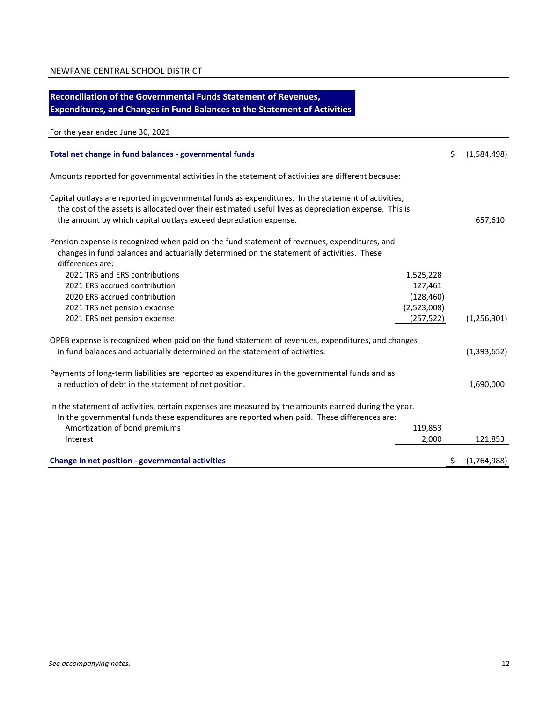## **Reconciliation of the Governmental Funds Statement of Revenues, Expenditures, and Changes in Fund Balances to the Statement of Activities**

## For the year ended June 30, 2021

| Total net change in fund balances - governmental funds                                                                                                                                                                                                                            |             | \$ | (1,584,498)   |
|-----------------------------------------------------------------------------------------------------------------------------------------------------------------------------------------------------------------------------------------------------------------------------------|-------------|----|---------------|
| Amounts reported for governmental activities in the statement of activities are different because:                                                                                                                                                                                |             |    |               |
| Capital outlays are reported in governmental funds as expenditures. In the statement of activities,<br>the cost of the assets is allocated over their estimated useful lives as depreciation expense. This is<br>the amount by which capital outlays exceed depreciation expense. |             |    | 657,610       |
| Pension expense is recognized when paid on the fund statement of revenues, expenditures, and<br>changes in fund balances and actuarially determined on the statement of activities. These<br>differences are:                                                                     |             |    |               |
| 2021 TRS and ERS contributions                                                                                                                                                                                                                                                    | 1,525,228   |    |               |
| 2021 ERS accrued contribution                                                                                                                                                                                                                                                     | 127,461     |    |               |
| 2020 ERS accrued contribution                                                                                                                                                                                                                                                     | (128, 460)  |    |               |
| 2021 TRS net pension expense                                                                                                                                                                                                                                                      | (2,523,008) |    |               |
| 2021 ERS net pension expense                                                                                                                                                                                                                                                      | (257, 522)  |    | (1, 256, 301) |
| OPEB expense is recognized when paid on the fund statement of revenues, expenditures, and changes                                                                                                                                                                                 |             |    |               |
| in fund balances and actuarially determined on the statement of activities.                                                                                                                                                                                                       |             |    | (1, 393, 652) |
| Payments of long-term liabilities are reported as expenditures in the governmental funds and as                                                                                                                                                                                   |             |    |               |
| a reduction of debt in the statement of net position.                                                                                                                                                                                                                             |             |    | 1,690,000     |
| In the statement of activities, certain expenses are measured by the amounts earned during the year.<br>In the governmental funds these expenditures are reported when paid. These differences are:                                                                               |             |    |               |
| Amortization of bond premiums                                                                                                                                                                                                                                                     | 119,853     |    |               |
| Interest                                                                                                                                                                                                                                                                          | 2,000       |    | 121,853       |
|                                                                                                                                                                                                                                                                                   |             |    |               |
| Change in net position - governmental activities                                                                                                                                                                                                                                  |             | S  | (1,764,988)   |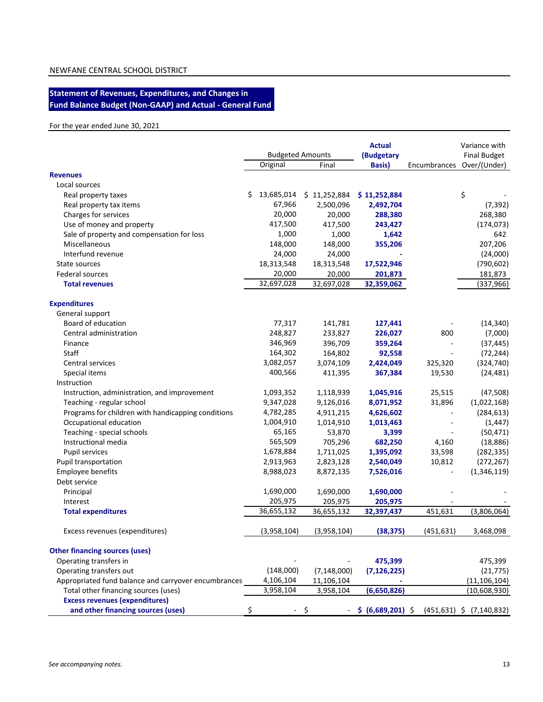#### **Statement of Revenues, Expenditures, and Changes in Fund Balance Budget (Non-GAAP) and Actual - General Fund**

#### For the year ended June 30, 2021

|                                                      | <b>Budgeted Amounts</b> |               | <b>Actual</b><br>(Budgetary | Variance with<br><b>Final Budget</b> |                                                |  |
|------------------------------------------------------|-------------------------|---------------|-----------------------------|--------------------------------------|------------------------------------------------|--|
|                                                      | Original                | Final         | <b>Basis</b> )              | Encumbrances                         | Over/(Under)                                   |  |
| <b>Revenues</b>                                      |                         |               |                             |                                      |                                                |  |
| Local sources                                        |                         |               |                             |                                      |                                                |  |
| Real property taxes                                  | \$<br>13,685,014        | \$11,252,884  | \$11,252,884                |                                      | \$                                             |  |
| Real property tax items                              | 67,966                  | 2,500,096     | 2,492,704                   |                                      | (7, 392)                                       |  |
| Charges for services                                 | 20,000                  | 20,000        | 288,380                     |                                      | 268,380                                        |  |
| Use of money and property                            | 417,500                 | 417,500       | 243,427                     |                                      | (174, 073)                                     |  |
| Sale of property and compensation for loss           | 1,000                   | 1,000         | 1,642                       |                                      | 642                                            |  |
| Miscellaneous                                        | 148,000                 | 148,000       | 355,206                     |                                      | 207,206                                        |  |
| Interfund revenue                                    | 24,000                  | 24,000        |                             |                                      | (24,000)                                       |  |
| State sources                                        | 18,313,548              | 18,313,548    | 17,522,946                  |                                      | (790, 602)                                     |  |
| Federal sources                                      | 20,000                  | 20,000        | 201,873                     |                                      | 181,873                                        |  |
| <b>Total revenues</b>                                | 32,697,028              | 32,697,028    | 32,359,062                  |                                      | (337, 966)                                     |  |
| <b>Expenditures</b>                                  |                         |               |                             |                                      |                                                |  |
| General support                                      |                         |               |                             |                                      |                                                |  |
| Board of education                                   | 77,317                  | 141,781       | 127,441                     |                                      | (14, 340)                                      |  |
| Central administration                               | 248,827                 | 233,827       | 226,027                     | 800                                  | (7,000)                                        |  |
| Finance                                              | 346,969                 | 396,709       | 359,264                     | $\overline{\phantom{a}}$             | (37, 445)                                      |  |
| Staff                                                | 164,302                 | 164,802       | 92,558                      | $\overline{\phantom{a}}$             | (72, 244)                                      |  |
| Central services                                     | 3,082,057               | 3,074,109     | 2,424,049                   | 325,320                              | (324, 740)                                     |  |
| Special items                                        | 400,566                 | 411,395       | 367,384                     | 19,530                               | (24, 481)                                      |  |
| Instruction                                          |                         |               |                             |                                      |                                                |  |
| Instruction, administration, and improvement         | 1,093,352               | 1,118,939     | 1,045,916                   | 25,515                               | (47,508)                                       |  |
| Teaching - regular school                            | 9,347,028               | 9,126,016     | 8,071,952                   | 31,896                               | (1,022,168)                                    |  |
| Programs for children with handicapping conditions   | 4,782,285               | 4,911,215     | 4,626,602                   | $\overline{\phantom{a}}$             | (284, 613)                                     |  |
| Occupational education                               | 1,004,910               | 1,014,910     | 1,013,463                   | $\overline{\phantom{a}}$             | (1, 447)                                       |  |
| Teaching - special schools                           | 65,165                  | 53,870        | 3,399                       |                                      | (50, 471)                                      |  |
| Instructional media                                  | 565,509                 | 705,296       | 682,250                     | 4,160                                | (18, 886)                                      |  |
| Pupil services                                       | 1,678,884               | 1,711,025     | 1,395,092                   | 33,598                               | (282, 335)                                     |  |
| Pupil transportation                                 | 2,913,963               | 2,823,128     | 2,540,049                   | 10,812                               | (272, 267)                                     |  |
| Employee benefits                                    | 8,988,023               | 8,872,135     | 7,526,016                   |                                      | (1,346,119)                                    |  |
| Debt service                                         |                         |               |                             |                                      |                                                |  |
| Principal                                            | 1,690,000               | 1,690,000     | 1,690,000                   |                                      |                                                |  |
| Interest                                             | 205,975                 | 205,975       | 205,975                     |                                      |                                                |  |
| <b>Total expenditures</b>                            | 36,655,132              | 36,655,132    | 32,397,437                  | 451,631                              | (3,806,064)                                    |  |
| Excess revenues (expenditures)                       | (3,958,104)             | (3,958,104)   | (38, 375)                   | (451, 631)                           | 3,468,098                                      |  |
| <b>Other financing sources (uses)</b>                |                         |               |                             |                                      |                                                |  |
| Operating transfers in                               |                         |               | 475,399                     |                                      | 475,399                                        |  |
| Operating transfers out                              | (148,000)               | (7, 148, 000) | (7, 126, 225)               |                                      | (21, 775)                                      |  |
| Appropriated fund balance and carryover encumbrances | 4,106,104               | 11,106,104    |                             |                                      | (11, 106, 104)                                 |  |
| Total other financing sources (uses)                 | 3,958,104               | 3,958,104     | (6,650,826)                 |                                      | (10,608,930)                                   |  |
| <b>Excess revenues (expenditures)</b>                |                         |               |                             |                                      |                                                |  |
| and other financing sources (uses)                   | \$                      | - \$          |                             |                                      | $-$ \$ (6,689,201) \$ (451,631) \$ (7,140,832) |  |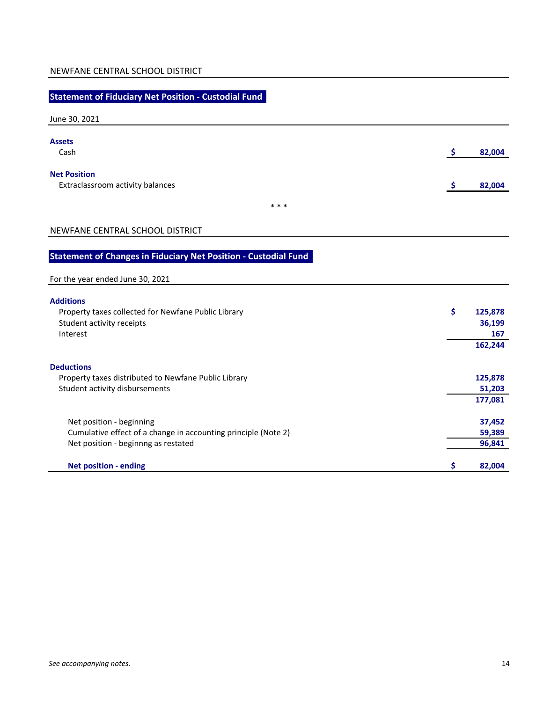## **Statement of Fiduciary Net Position - Custodial Fund**

June 30, 2021

| <b>Assets</b><br>Cash                                   | 82,004 |
|---------------------------------------------------------|--------|
| <b>Net Position</b><br>Extraclassroom activity balances | 82,004 |
| * * *                                                   |        |

## NEWFANE CENTRAL SCHOOL DISTRICT

## **Statement of Changes in Fiduciary Net Position - Custodial Fund**

| For the year ended June 30, 2021                               |               |
|----------------------------------------------------------------|---------------|
| <b>Additions</b>                                               |               |
| Property taxes collected for Newfane Public Library            | \$<br>125,878 |
| Student activity receipts                                      | 36,199        |
| Interest                                                       | 167           |
|                                                                | 162,244       |
| <b>Deductions</b>                                              |               |
| Property taxes distributed to Newfane Public Library           | 125,878       |
| Student activity disbursements                                 | 51,203        |
|                                                                | 177,081       |
| Net position - beginning                                       | 37,452        |
| Cumulative effect of a change in accounting principle (Note 2) | 59,389        |
| Net position - beginnng as restated                            | 96,841        |
| <b>Net position - ending</b>                                   | 82,004<br>Ş   |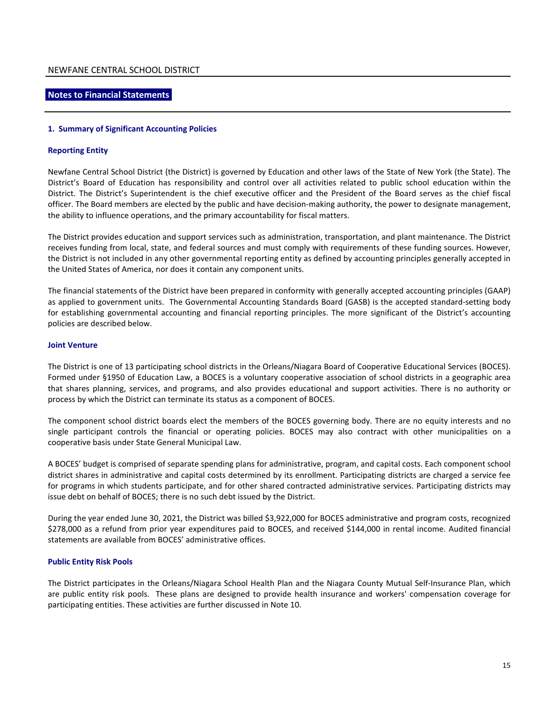#### **Notes to Financial Statements**

#### **1. Summary of Significant Accounting Policies**

#### **Reporting Entity**

Newfane Central School District (the District) is governed by Education and other laws of the State of New York (the State). The District's Board of Education has responsibility and control over all activities related to public school education within the District. The District's Superintendent is the chief executive officer and the President of the Board serves as the chief fiscal officer. The Board members are elected by the public and have decision-making authority, the power to designate management, the ability to influence operations, and the primary accountability for fiscal matters.

The District provides education and support services such as administration, transportation, and plant maintenance. The District receives funding from local, state, and federal sources and must comply with requirements of these funding sources. However, the District is not included in any other governmental reporting entity as defined by accounting principles generally accepted in the United States of America, nor does it contain any component units.

The financial statements of the District have been prepared in conformity with generally accepted accounting principles (GAAP) as applied to government units. The Governmental Accounting Standards Board (GASB) is the accepted standard-setting body for establishing governmental accounting and financial reporting principles. The more significant of the District's accounting policies are described below.

#### **Joint Venture**

The District is one of 13 participating school districts in the Orleans/Niagara Board of Cooperative Educational Services (BOCES). Formed under §1950 of Education Law, a BOCES is a voluntary cooperative association of school districts in a geographic area that shares planning, services, and programs, and also provides educational and support activities. There is no authority or process by which the District can terminate its status as a component of BOCES.

The component school district boards elect the members of the BOCES governing body. There are no equity interests and no single participant controls the financial or operating policies. BOCES may also contract with other municipalities on a cooperative basis under State General Municipal Law.

A BOCES' budget is comprised of separate spending plans for administrative, program, and capital costs. Each component school district shares in administrative and capital costs determined by its enrollment. Participating districts are charged a service fee for programs in which students participate, and for other shared contracted administrative services. Participating districts may issue debt on behalf of BOCES; there is no such debt issued by the District.

During the year ended June 30, 2021, the District was billed \$3,922,000 for BOCES administrative and program costs, recognized \$278,000 as a refund from prior year expenditures paid to BOCES, and received \$144,000 in rental income. Audited financial statements are available from BOCES' administrative offices.

#### **Public Entity Risk Pools**

The District participates in the Orleans/Niagara School Health Plan and the Niagara County Mutual Self-Insurance Plan, which are public entity risk pools. These plans are designed to provide health insurance and workers' compensation coverage for participating entities. These activities are further discussed in Note 10.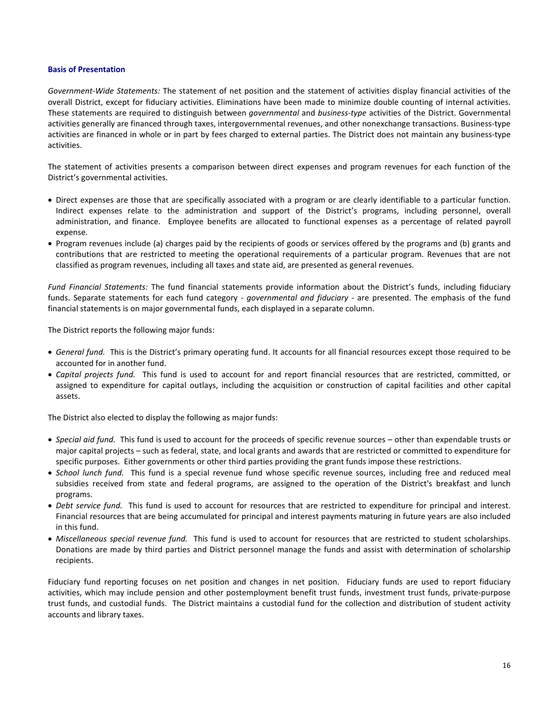#### **Basis of Presentation**

*Government-Wide Statements:* The statement of net position and the statement of activities display financial activities of the overall District, except for fiduciary activities. Eliminations have been made to minimize double counting of internal activities. These statements are required to distinguish between *governmental* and *business-type* activities of the District. Governmental activities generally are financed through taxes, intergovernmental revenues, and other nonexchange transactions. Business-type activities are financed in whole or in part by fees charged to external parties. The District does not maintain any business-type activities.

The statement of activities presents a comparison between direct expenses and program revenues for each function of the District's governmental activities.

- Direct expenses are those that are specifically associated with a program or are clearly identifiable to a particular function. Indirect expenses relate to the administration and support of the District's programs, including personnel, overall administration, and finance. Employee benefits are allocated to functional expenses as a percentage of related payroll expense.
- Program revenues include (a) charges paid by the recipients of goods or services offered by the programs and (b) grants and contributions that are restricted to meeting the operational requirements of a particular program. Revenues that are not classified as program revenues, including all taxes and state aid, are presented as general revenues.

*Fund Financial Statements:* The fund financial statements provide information about the District's funds, including fiduciary funds. Separate statements for each fund category - *governmental and fiduciary -* are presented. The emphasis of the fund financial statements is on major governmental funds, each displayed in a separate column.

The District reports the following major funds:

- *General fund.* This is the District's primary operating fund. It accounts for all financial resources except those required to be accounted for in another fund.
- *Capital projects fund.* This fund is used to account for and report financial resources that are restricted, committed, or assigned to expenditure for capital outlays, including the acquisition or construction of capital facilities and other capital assets.

The District also elected to display the following as major funds:

- *Special aid fund.* This fund is used to account for the proceeds of specific revenue sources other than expendable trusts or major capital projects – such as federal, state, and local grants and awards that are restricted or committed to expenditure for specific purposes. Either governments or other third parties providing the grant funds impose these restrictions.
- *School lunch fund.* This fund is a special revenue fund whose specific revenue sources, including free and reduced meal subsidies received from state and federal programs, are assigned to the operation of the District's breakfast and lunch programs.
- *Debt service fund.* This fund is used to account for resources that are restricted to expenditure for principal and interest. Financial resources that are being accumulated for principal and interest payments maturing in future years are also included in this fund.
- *Miscellaneous special revenue fund.* This fund is used to account for resources that are restricted to student scholarships. Donations are made by third parties and District personnel manage the funds and assist with determination of scholarship recipients.

Fiduciary fund reporting focuses on net position and changes in net position. Fiduciary funds are used to report fiduciary activities, which may include pension and other postemployment benefit trust funds, investment trust funds, private-purpose trust funds, and custodial funds. The District maintains a custodial fund for the collection and distribution of student activity accounts and library taxes.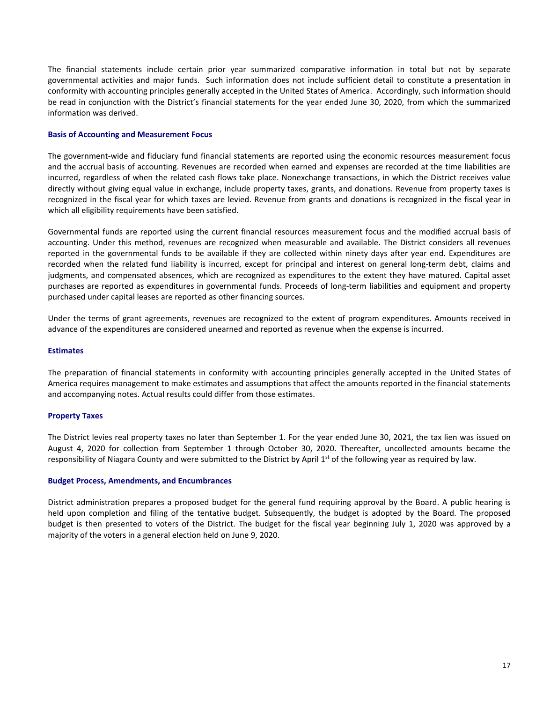The financial statements include certain prior year summarized comparative information in total but not by separate governmental activities and major funds. Such information does not include sufficient detail to constitute a presentation in conformity with accounting principles generally accepted in the United States of America. Accordingly, such information should be read in conjunction with the District's financial statements for the year ended June 30, 2020, from which the summarized information was derived.

#### **Basis of Accounting and Measurement Focus**

The government-wide and fiduciary fund financial statements are reported using the economic resources measurement focus and the accrual basis of accounting. Revenues are recorded when earned and expenses are recorded at the time liabilities are incurred, regardless of when the related cash flows take place. Nonexchange transactions, in which the District receives value directly without giving equal value in exchange, include property taxes, grants, and donations. Revenue from property taxes is recognized in the fiscal year for which taxes are levied. Revenue from grants and donations is recognized in the fiscal year in which all eligibility requirements have been satisfied.

Governmental funds are reported using the current financial resources measurement focus and the modified accrual basis of accounting. Under this method, revenues are recognized when measurable and available. The District considers all revenues reported in the governmental funds to be available if they are collected within ninety days after year end. Expenditures are recorded when the related fund liability is incurred, except for principal and interest on general long-term debt, claims and judgments, and compensated absences, which are recognized as expenditures to the extent they have matured. Capital asset purchases are reported as expenditures in governmental funds. Proceeds of long-term liabilities and equipment and property purchased under capital leases are reported as other financing sources.

Under the terms of grant agreements, revenues are recognized to the extent of program expenditures. Amounts received in advance of the expenditures are considered unearned and reported as revenue when the expense is incurred.

#### **Estimates**

The preparation of financial statements in conformity with accounting principles generally accepted in the United States of America requires management to make estimates and assumptions that affect the amounts reported in the financial statements and accompanying notes. Actual results could differ from those estimates.

#### **Property Taxes**

The District levies real property taxes no later than September 1. For the year ended June 30, 2021, the tax lien was issued on August 4, 2020 for collection from September 1 through October 30, 2020. Thereafter, uncollected amounts became the responsibility of Niagara County and were submitted to the District by April  $1<sup>st</sup>$  of the following year as required by law.

#### **Budget Process, Amendments, and Encumbrances**

District administration prepares a proposed budget for the general fund requiring approval by the Board. A public hearing is held upon completion and filing of the tentative budget. Subsequently, the budget is adopted by the Board. The proposed budget is then presented to voters of the District. The budget for the fiscal year beginning July 1, 2020 was approved by a majority of the voters in a general election held on June 9, 2020.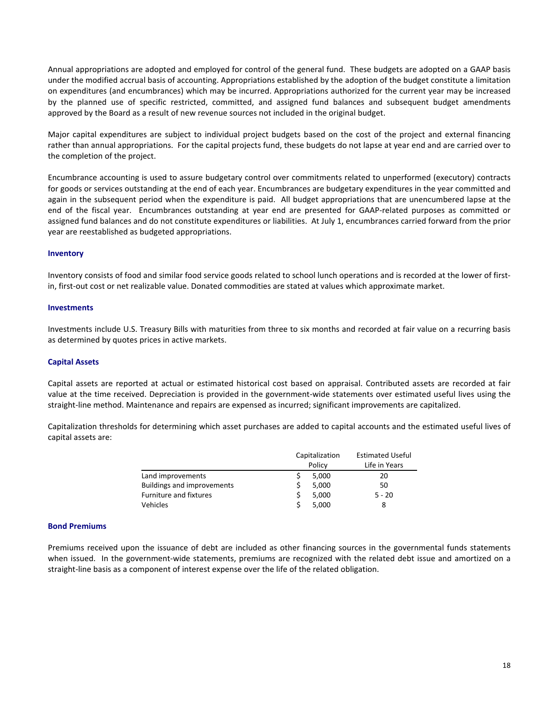Annual appropriations are adopted and employed for control of the general fund. These budgets are adopted on a GAAP basis under the modified accrual basis of accounting. Appropriations established by the adoption of the budget constitute a limitation on expenditures (and encumbrances) which may be incurred. Appropriations authorized for the current year may be increased by the planned use of specific restricted, committed, and assigned fund balances and subsequent budget amendments approved by the Board as a result of new revenue sources not included in the original budget.

Major capital expenditures are subject to individual project budgets based on the cost of the project and external financing rather than annual appropriations. For the capital projects fund, these budgets do not lapse at year end and are carried over to the completion of the project.

Encumbrance accounting is used to assure budgetary control over commitments related to unperformed (executory) contracts for goods or services outstanding at the end of each year. Encumbrances are budgetary expenditures in the year committed and again in the subsequent period when the expenditure is paid. All budget appropriations that are unencumbered lapse at the end of the fiscal year. Encumbrances outstanding at year end are presented for GAAP-related purposes as committed or assigned fund balances and do not constitute expenditures or liabilities. At July 1, encumbrances carried forward from the prior year are reestablished as budgeted appropriations.

#### **Inventory**

Inventory consists of food and similar food service goods related to school lunch operations and is recorded at the lower of firstin, first-out cost or net realizable value. Donated commodities are stated at values which approximate market.

#### **Investments**

Investments include U.S. Treasury Bills with maturities from three to six months and recorded at fair value on a recurring basis as determined by quotes prices in active markets.

#### **Capital Assets**

Capital assets are reported at actual or estimated historical cost based on appraisal. Contributed assets are recorded at fair value at the time received. Depreciation is provided in the government-wide statements over estimated useful lives using the straight-line method. Maintenance and repairs are expensed as incurred; significant improvements are capitalized.

Capitalization thresholds for determining which asset purchases are added to capital accounts and the estimated useful lives of capital assets are:

|    |        | <b>Estimated Useful</b> |  |  |  |
|----|--------|-------------------------|--|--|--|
|    | Policy | Life in Years           |  |  |  |
|    | 5.000  | 20                      |  |  |  |
|    | 5,000  | 50                      |  |  |  |
| S  | 5,000  | $5 - 20$                |  |  |  |
| -S | 5.000  | 8                       |  |  |  |
|    |        | Capitalization          |  |  |  |

#### **Bond Premiums**

Premiums received upon the issuance of debt are included as other financing sources in the governmental funds statements when issued. In the government-wide statements, premiums are recognized with the related debt issue and amortized on a straight-line basis as a component of interest expense over the life of the related obligation.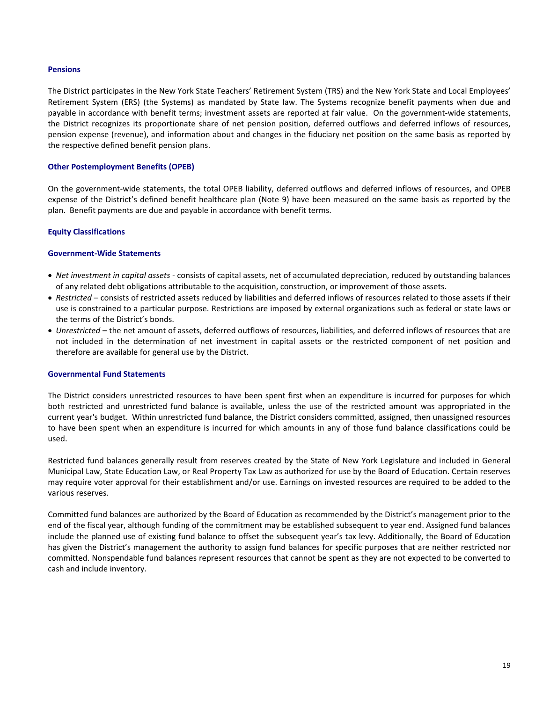#### **Pensions**

The District participates in the New York State Teachers' Retirement System (TRS) and the New York State and Local Employees' Retirement System (ERS) (the Systems) as mandated by State law. The Systems recognize benefit payments when due and payable in accordance with benefit terms; investment assets are reported at fair value. On the government-wide statements, the District recognizes its proportionate share of net pension position, deferred outflows and deferred inflows of resources, pension expense (revenue), and information about and changes in the fiduciary net position on the same basis as reported by the respective defined benefit pension plans.

#### **Other Postemployment Benefits (OPEB)**

On the government-wide statements, the total OPEB liability, deferred outflows and deferred inflows of resources, and OPEB expense of the District's defined benefit healthcare plan (Note 9) have been measured on the same basis as reported by the plan. Benefit payments are due and payable in accordance with benefit terms.

#### **Equity Classifications**

#### **Government-Wide Statements**

- *Net investment in capital assets* consists of capital assets, net of accumulated depreciation, reduced by outstanding balances of any related debt obligations attributable to the acquisition, construction, or improvement of those assets.
- *Restricted* consists of restricted assets reduced by liabilities and deferred inflows of resources related to those assets if their use is constrained to a particular purpose. Restrictions are imposed by external organizations such as federal or state laws or the terms of the District's bonds.
- *Unrestricted* the net amount of assets, deferred outflows of resources, liabilities, and deferred inflows of resources that are not included in the determination of net investment in capital assets or the restricted component of net position and therefore are available for general use by the District.

#### **Governmental Fund Statements**

The District considers unrestricted resources to have been spent first when an expenditure is incurred for purposes for which both restricted and unrestricted fund balance is available, unless the use of the restricted amount was appropriated in the current year's budget. Within unrestricted fund balance, the District considers committed, assigned, then unassigned resources to have been spent when an expenditure is incurred for which amounts in any of those fund balance classifications could be used.

Restricted fund balances generally result from reserves created by the State of New York Legislature and included in General Municipal Law, State Education Law, or Real Property Tax Law as authorized for use by the Board of Education. Certain reserves may require voter approval for their establishment and/or use. Earnings on invested resources are required to be added to the various reserves.

Committed fund balances are authorized by the Board of Education as recommended by the District's management prior to the end of the fiscal year, although funding of the commitment may be established subsequent to year end. Assigned fund balances include the planned use of existing fund balance to offset the subsequent year's tax levy. Additionally, the Board of Education has given the District's management the authority to assign fund balances for specific purposes that are neither restricted nor committed. Nonspendable fund balances represent resources that cannot be spent as they are not expected to be converted to cash and include inventory.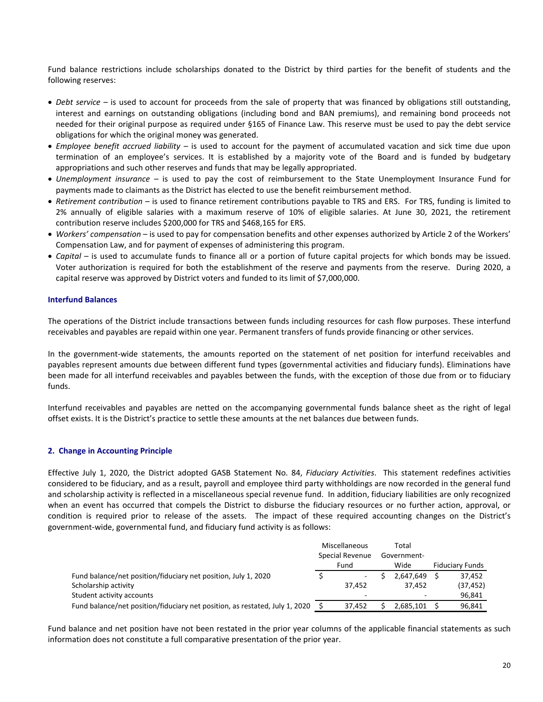Fund balance restrictions include scholarships donated to the District by third parties for the benefit of students and the following reserves:

- *Debt service –* is used to account for proceeds from the sale of property that was financed by obligations still outstanding, interest and earnings on outstanding obligations (including bond and BAN premiums), and remaining bond proceeds not needed for their original purpose as required under §165 of Finance Law. This reserve must be used to pay the debt service obligations for which the original money was generated.
- *Employee benefit accrued liability –* is used to account for the payment of accumulated vacation and sick time due upon termination of an employee's services. It is established by a majority vote of the Board and is funded by budgetary appropriations and such other reserves and funds that may be legally appropriated.
- *Unemployment insurance –* is used to pay the cost of reimbursement to the State Unemployment Insurance Fund for payments made to claimants as the District has elected to use the benefit reimbursement method.
- *Retirement contribution –* is used to finance retirement contributions payable to TRS and ERS. For TRS, funding is limited to 2% annually of eligible salaries with a maximum reserve of 10% of eligible salaries. At June 30, 2021, the retirement contribution reserve includes \$200,000 for TRS and \$468,165 for ERS.
- *Workers' compensation* is used to pay for compensation benefits and other expenses authorized by Article 2 of the Workers' Compensation Law, and for payment of expenses of administering this program.
- *Capital* is used to accumulate funds to finance all or a portion of future capital projects for which bonds may be issued. Voter authorization is required for both the establishment of the reserve and payments from the reserve. During 2020, a capital reserve was approved by District voters and funded to its limit of \$7,000,000.

#### **Interfund Balances**

The operations of the District include transactions between funds including resources for cash flow purposes. These interfund receivables and payables are repaid within one year. Permanent transfers of funds provide financing or other services.

In the government-wide statements, the amounts reported on the statement of net position for interfund receivables and payables represent amounts due between different fund types (governmental activities and fiduciary funds). Eliminations have been made for all interfund receivables and payables between the funds, with the exception of those due from or to fiduciary funds.

Interfund receivables and payables are netted on the accompanying governmental funds balance sheet as the right of legal offset exists. It is the District's practice to settle these amounts at the net balances due between funds.

#### **2. Change in Accounting Principle**

Effective July 1, 2020, the District adopted GASB Statement No. 84, *Fiduciary Activities*. This statement redefines activities considered to be fiduciary, and as a result, payroll and employee third party withholdings are now recorded in the general fund and scholarship activity is reflected in a miscellaneous special revenue fund. In addition, fiduciary liabilities are only recognized when an event has occurred that compels the District to disburse the fiduciary resources or no further action, approval, or condition is required prior to release of the assets. The impact of these required accounting changes on the District's government-wide, governmental fund, and fiduciary fund activity is as follows:

|                                                                             |                 | Miscellaneous | Total       |           |                        |
|-----------------------------------------------------------------------------|-----------------|---------------|-------------|-----------|------------------------|
|                                                                             | Special Revenue |               | Government- |           |                        |
|                                                                             |                 | Fund          |             | Wide      | <b>Fiduciary Funds</b> |
| Fund balance/net position/fiduciary net position, July 1, 2020              |                 | ۰             |             | 2.647.649 | 37,452                 |
| Scholarship activity                                                        |                 | 37,452        |             | 37.452    | (37, 452)              |
| Student activity accounts                                                   |                 | -             |             |           | 96.841                 |
| Fund balance/net position/fiduciary net position, as restated, July 1, 2020 |                 | 37.452        |             | 2.685.101 | 96,841                 |

Fund balance and net position have not been restated in the prior year columns of the applicable financial statements as such information does not constitute a full comparative presentation of the prior year.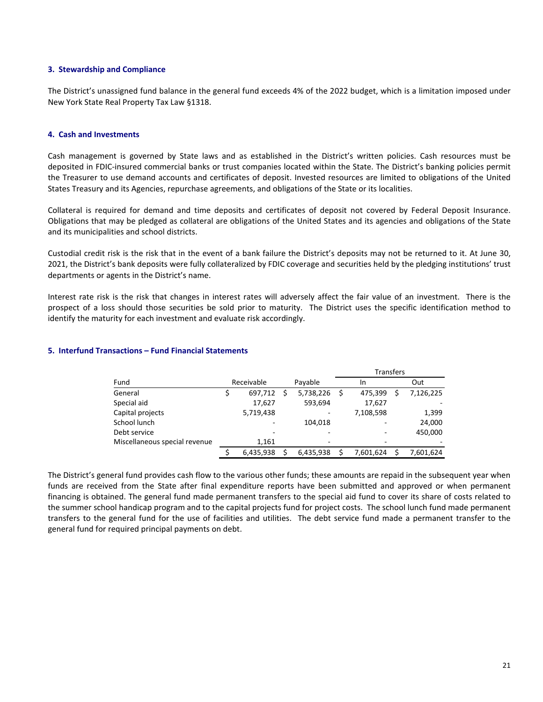#### **3. Stewardship and Compliance**

The District's unassigned fund balance in the general fund exceeds 4% of the 2022 budget, which is a limitation imposed under New York State Real Property Tax Law §1318.

#### **4. Cash and Investments**

Cash management is governed by State laws and as established in the District's written policies. Cash resources must be deposited in FDIC-insured commercial banks or trust companies located within the State. The District's banking policies permit the Treasurer to use demand accounts and certificates of deposit. Invested resources are limited to obligations of the United States Treasury and its Agencies, repurchase agreements, and obligations of the State or its localities.

Collateral is required for demand and time deposits and certificates of deposit not covered by Federal Deposit Insurance. Obligations that may be pledged as collateral are obligations of the United States and its agencies and obligations of the State and its municipalities and school districts.

Custodial credit risk is the risk that in the event of a bank failure the District's deposits may not be returned to it. At June 30, 2021, the District's bank deposits were fully collateralized by FDIC coverage and securities held by the pledging institutions' trust departments or agents in the District's name.

Interest rate risk is the risk that changes in interest rates will adversely affect the fair value of an investment. There is the prospect of a loss should those securities be sold prior to maturity. The District uses the specific identification method to identify the maturity for each investment and evaluate risk accordingly.

#### **5. Interfund Transactions – Fund Financial Statements**

|                               |            |           | <b>Transfers</b>         |           |
|-------------------------------|------------|-----------|--------------------------|-----------|
| Fund                          | Receivable | Payable   | In                       | Out       |
| General                       | 697,712    | 5,738,226 | \$<br>475.399            | 7,126,225 |
| Special aid                   | 17,627     | 593,694   | 17,627                   |           |
| Capital projects              | 5,719,438  |           | 7,108,598                | 1,399     |
| School lunch                  | ۰          | 104.018   |                          | 24,000    |
| Debt service                  |            |           |                          | 450,000   |
| Miscellaneous special revenue | 1,161      | ۰         | $\overline{\phantom{0}}$ |           |
|                               | 6,435,938  | 6,435,938 | 7.601.624                | 7,601,624 |

The District's general fund provides cash flow to the various other funds; these amounts are repaid in the subsequent year when funds are received from the State after final expenditure reports have been submitted and approved or when permanent financing is obtained. The general fund made permanent transfers to the special aid fund to cover its share of costs related to the summer school handicap program and to the capital projects fund for project costs. The school lunch fund made permanent transfers to the general fund for the use of facilities and utilities. The debt service fund made a permanent transfer to the general fund for required principal payments on debt.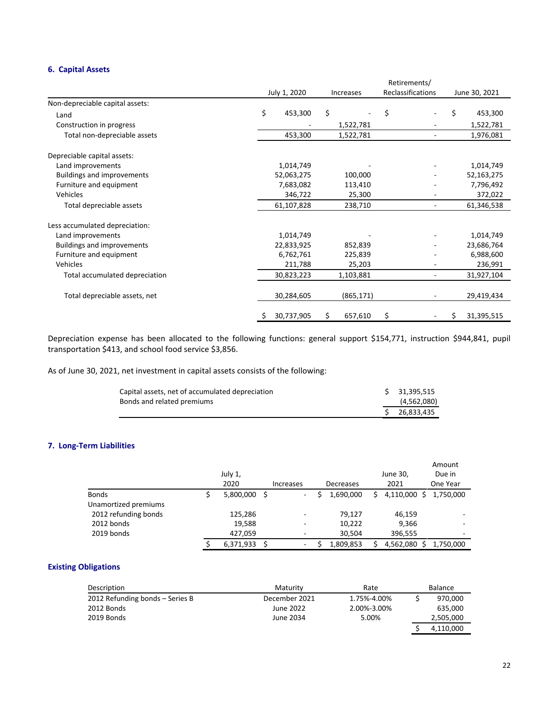## **6. Capital Assets**

|                                   |               |                  |            | Retirements/             |                          |    |               |  |
|-----------------------------------|---------------|------------------|------------|--------------------------|--------------------------|----|---------------|--|
|                                   | July 1, 2020  | <b>Increases</b> |            | <b>Reclassifications</b> |                          |    | June 30, 2021 |  |
| Non-depreciable capital assets:   |               |                  |            |                          |                          |    |               |  |
| Land                              | \$<br>453,300 | \$               |            | \$                       | ۰                        | \$ | 453,300       |  |
| Construction in progress          |               |                  | 1,522,781  |                          |                          |    | 1,522,781     |  |
| Total non-depreciable assets      | 453,300       |                  | 1,522,781  |                          | $\overline{\phantom{a}}$ |    | 1,976,081     |  |
| Depreciable capital assets:       |               |                  |            |                          |                          |    |               |  |
| Land improvements                 | 1,014,749     |                  |            |                          |                          |    | 1,014,749     |  |
| <b>Buildings and improvements</b> | 52,063,275    |                  | 100,000    |                          |                          |    | 52,163,275    |  |
| Furniture and equipment           | 7,683,082     |                  | 113,410    |                          |                          |    | 7,796,492     |  |
| Vehicles                          | 346,722       |                  | 25,300     |                          |                          |    | 372,022       |  |
| Total depreciable assets          | 61,107,828    |                  | 238,710    |                          |                          |    | 61,346,538    |  |
| Less accumulated depreciation:    |               |                  |            |                          |                          |    |               |  |
| Land improvements                 | 1,014,749     |                  |            |                          |                          |    | 1,014,749     |  |
| <b>Buildings and improvements</b> | 22,833,925    |                  | 852,839    |                          |                          |    | 23,686,764    |  |
| Furniture and equipment           | 6,762,761     |                  | 225,839    |                          |                          |    | 6,988,600     |  |
| Vehicles                          | 211,788       |                  | 25,203     |                          |                          |    | 236,991       |  |
| Total accumulated depreciation    | 30,823,223    |                  | 1,103,881  |                          | ۰                        |    | 31,927,104    |  |
| Total depreciable assets, net     | 30,284,605    |                  | (865, 171) |                          |                          |    | 29,419,434    |  |
|                                   | 30,737,905    | s                | 657,610    | \$                       |                          | Ş  | 31,395,515    |  |

Depreciation expense has been allocated to the following functions: general support \$154,771, instruction \$944,841, pupil transportation \$413, and school food service \$3,856.

As of June 30, 2021, net investment in capital assets consists of the following:

| Capital assets, net of accumulated depreciation | \$31,395,515  |
|-------------------------------------------------|---------------|
| Bonds and related premiums                      | (4,562,080)   |
|                                                 | \$ 26.833.435 |

## **7. Long-Term Liabilities**

|                      | July 1,<br>2020 |    | <b>Increases</b>         | Decreases |    | June 30,<br>2021 | Amount<br>Due in<br>One Year |
|----------------------|-----------------|----|--------------------------|-----------|----|------------------|------------------------------|
| <b>Bonds</b>         | 5,800,000       | -S | $\overline{\phantom{a}}$ | 1,690,000 | S. | 4,110,000        | 1.750.000<br>S               |
| Unamortized premiums |                 |    |                          |           |    |                  |                              |
| 2012 refunding bonds | 125,286         |    | $\overline{\phantom{a}}$ | 79,127    |    | 46,159           |                              |
| 2012 bonds           | 19,588          |    | ۰                        | 10,222    |    | 9,366            |                              |
| 2019 bonds           | 427,059         |    | ٠                        | 30,504    |    | 396,555          | ۰                            |
|                      | 6,371,933       |    | $\overline{\phantom{a}}$ | 1,809,853 |    | 4,562,080        | 1,750,000                    |

## **Existing Obligations**

| Description                     | Maturity      | Rate        | Balance   |
|---------------------------------|---------------|-------------|-----------|
| 2012 Refunding bonds - Series B | December 2021 | 1.75%-4.00% | 970,000   |
| 2012 Bonds                      | June 2022     | 2.00%-3.00% | 635,000   |
| 2019 Bonds                      | June 2034     | 5.00%       | 2,505,000 |
|                                 |               |             | 4,110,000 |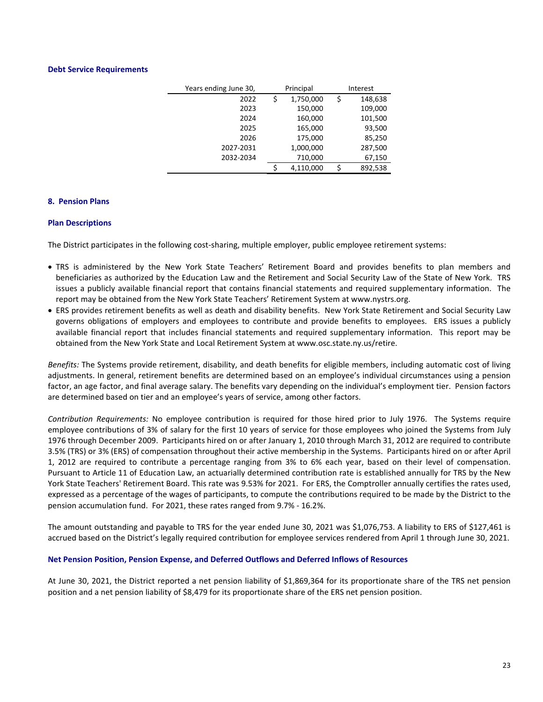#### **Debt Service Requirements**

| Years ending June 30, |    | Principal | Interest      |
|-----------------------|----|-----------|---------------|
| 2022                  | \$ | 1,750,000 | \$<br>148,638 |
| 2023                  |    | 150,000   | 109,000       |
| 2024                  |    | 160,000   | 101,500       |
| 2025                  |    | 165,000   | 93,500        |
| 2026                  |    | 175,000   | 85,250        |
| 2027-2031             |    | 1,000,000 | 287,500       |
| 2032-2034             |    | 710,000   | 67,150        |
|                       | ς  | 4,110,000 | 892,538       |

#### **8. Pension Plans**

#### **Plan Descriptions**

The District participates in the following cost-sharing, multiple employer, public employee retirement systems:

- TRS is administered by the New York State Teachers' Retirement Board and provides benefits to plan members and beneficiaries as authorized by the Education Law and the Retirement and Social Security Law of the State of New York. TRS issues a publicly available financial report that contains financial statements and required supplementary information. The report may be obtained from the New York State Teachers' Retirement System at www.nystrs.org.
- ERS provides retirement benefits as well as death and disability benefits. New York State Retirement and Social Security Law governs obligations of employers and employees to contribute and provide benefits to employees. ERS issues a publicly available financial report that includes financial statements and required supplementary information. This report may be obtained from the New York State and Local Retirement System at www.osc.state.ny.us/retire.

*Benefits:* The Systems provide retirement, disability, and death benefits for eligible members, including automatic cost of living adjustments. In general, retirement benefits are determined based on an employee's individual circumstances using a pension factor, an age factor, and final average salary. The benefits vary depending on the individual's employment tier. Pension factors are determined based on tier and an employee's years of service, among other factors.

*Contribution Requirements:* No employee contribution is required for those hired prior to July 1976. The Systems require employee contributions of 3% of salary for the first 10 years of service for those employees who joined the Systems from July 1976 through December 2009. Participants hired on or after January 1, 2010 through March 31, 2012 are required to contribute 3.5% (TRS) or 3% (ERS) of compensation throughout their active membership in the Systems. Participants hired on or after April 1, 2012 are required to contribute a percentage ranging from 3% to 6% each year, based on their level of compensation. Pursuant to Article 11 of Education Law, an actuarially determined contribution rate is established annually for TRS by the New York State Teachers' Retirement Board. This rate was 9.53% for 2021. For ERS, the Comptroller annually certifies the rates used, expressed as a percentage of the wages of participants, to compute the contributions required to be made by the District to the pension accumulation fund. For 2021, these rates ranged from 9.7% - 16.2%.

The amount outstanding and payable to TRS for the year ended June 30, 2021 was \$1,076,753. A liability to ERS of \$127,461 is accrued based on the District's legally required contribution for employee services rendered from April 1 through June 30, 2021.

#### **Net Pension Position, Pension Expense, and Deferred Outflows and Deferred Inflows of Resources**

At June 30, 2021, the District reported a net pension liability of \$1,869,364 for its proportionate share of the TRS net pension position and a net pension liability of \$8,479 for its proportionate share of the ERS net pension position.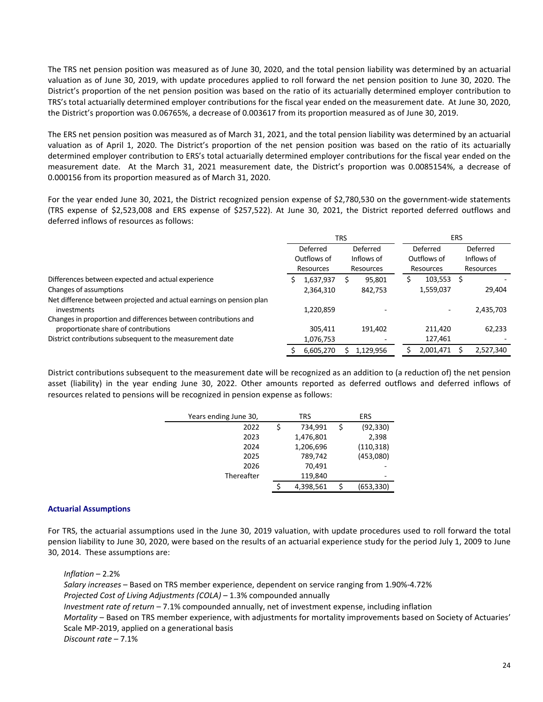The TRS net pension position was measured as of June 30, 2020, and the total pension liability was determined by an actuarial valuation as of June 30, 2019, with update procedures applied to roll forward the net pension position to June 30, 2020. The District's proportion of the net pension position was based on the ratio of its actuarially determined employer contribution to TRS's total actuarially determined employer contributions for the fiscal year ended on the measurement date. At June 30, 2020, the District's proportion was 0.06765%, a decrease of 0.003617 from its proportion measured as of June 30, 2019.

The ERS net pension position was measured as of March 31, 2021, and the total pension liability was determined by an actuarial valuation as of April 1, 2020. The District's proportion of the net pension position was based on the ratio of its actuarially determined employer contribution to ERS's total actuarially determined employer contributions for the fiscal year ended on the measurement date. At the March 31, 2021 measurement date, the District's proportion was 0.0085154%, a decrease of 0.000156 from its proportion measured as of March 31, 2020.

For the year ended June 30, 2021, the District recognized pension expense of \$2,780,530 on the government-wide statements (TRS expense of \$2,523,008 and ERS expense of \$257,522). At June 30, 2021, the District reported deferred outflows and deferred inflows of resources as follows:

|                                                                                     | <b>TRS</b> |                                      |  |                                     | <b>ERS</b> |                                      |  |                                     |
|-------------------------------------------------------------------------------------|------------|--------------------------------------|--|-------------------------------------|------------|--------------------------------------|--|-------------------------------------|
|                                                                                     |            | Deferred<br>Outflows of<br>Resources |  | Deferred<br>Inflows of<br>Resources |            | Deferred<br>Outflows of<br>Resources |  | Deferred<br>Inflows of<br>Resources |
| Differences between expected and actual experience                                  |            | 1,637,937                            |  | 95,801                              | s          | 103,553                              |  |                                     |
| Changes of assumptions                                                              |            | 2,364,310                            |  | 842,753                             |            | 1,559,037                            |  | 29,404                              |
| Net difference between projected and actual earnings on pension plan<br>investments |            | 1,220,859                            |  |                                     |            |                                      |  | 2,435,703                           |
| Changes in proportion and differences between contributions and                     |            |                                      |  |                                     |            |                                      |  |                                     |
| proportionate share of contributions                                                |            | 305,411                              |  | 191,402                             |            | 211.420                              |  | 62,233                              |
| District contributions subsequent to the measurement date                           |            | 1,076,753                            |  |                                     |            | 127,461                              |  |                                     |
|                                                                                     |            | 6,605,270                            |  | 1,129,956                           |            | 2,001,471                            |  | 2,527,340                           |

District contributions subsequent to the measurement date will be recognized as an addition to (a reduction of) the net pension asset (liability) in the year ending June 30, 2022. Other amounts reported as deferred outflows and deferred inflows of resources related to pensions will be recognized in pension expense as follows:

| Years ending June 30, | TRS |           |    | <b>ERS</b> |  |  |  |
|-----------------------|-----|-----------|----|------------|--|--|--|
| 2022                  | \$  | 734,991   | \$ | (92, 330)  |  |  |  |
| 2023                  |     | 1,476,801 |    | 2,398      |  |  |  |
| 2024                  |     | 1,206,696 |    | (110, 318) |  |  |  |
| 2025                  |     | 789,742   |    | (453,080)  |  |  |  |
| 2026                  |     | 70.491    |    |            |  |  |  |
| Thereafter            |     | 119,840   |    | -          |  |  |  |
|                       |     | 4,398,561 |    | (653, 330) |  |  |  |

#### **Actuarial Assumptions**

For TRS, the actuarial assumptions used in the June 30, 2019 valuation, with update procedures used to roll forward the total pension liability to June 30, 2020, were based on the results of an actuarial experience study for the period July 1, 2009 to June 30, 2014. These assumptions are:

*Inflation* – 2.2%

*Salary increases* – Based on TRS member experience, dependent on service ranging from 1.90%-4.72% *Projected Cost of Living Adjustments (COLA)* – 1.3% compounded annually *Investment rate of return* – 7.1% compounded annually, net of investment expense, including inflation *Mortality* – Based on TRS member experience, with adjustments for mortality improvements based on Society of Actuaries' Scale MP-2019, applied on a generational basis *Discount rate* – 7.1%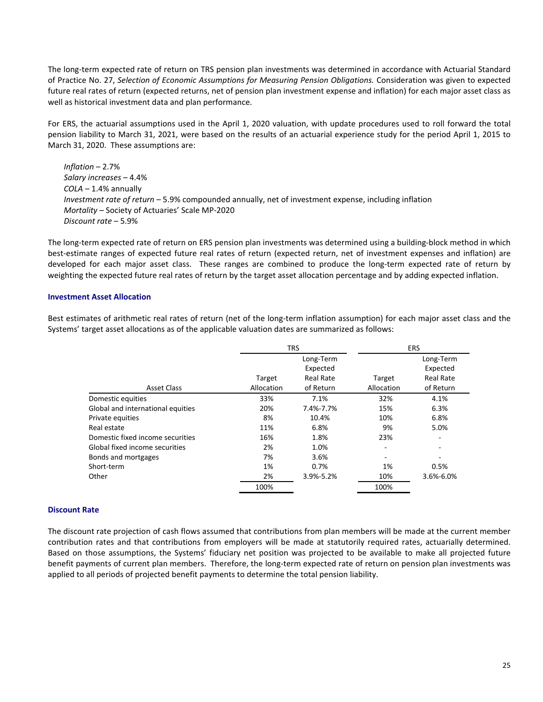The long-term expected rate of return on TRS pension plan investments was determined in accordance with Actuarial Standard of Practice No. 27, *Selection of Economic Assumptions for Measuring Pension Obligations.* Consideration was given to expected future real rates of return (expected returns, net of pension plan investment expense and inflation) for each major asset class as well as historical investment data and plan performance.

For ERS, the actuarial assumptions used in the April 1, 2020 valuation, with update procedures used to roll forward the total pension liability to March 31, 2021, were based on the results of an actuarial experience study for the period April 1, 2015 to March 31, 2020. These assumptions are:

*Inflation* – 2.7% *Salary increases* – 4.4% *COLA* – 1.4% annually *Investment rate of return* – 5.9% compounded annually, net of investment expense, including inflation *Mortality* – Society of Actuaries' Scale MP-2020 *Discount rate* – 5.9%

The long-term expected rate of return on ERS pension plan investments was determined using a building-block method in which best-estimate ranges of expected future real rates of return (expected return, net of investment expenses and inflation) are developed for each major asset class. These ranges are combined to produce the long-term expected rate of return by weighting the expected future real rates of return by the target asset allocation percentage and by adding expected inflation.

#### **Investment Asset Allocation**

Best estimates of arithmetic real rates of return (net of the long-term inflation assumption) for each major asset class and the Systems' target asset allocations as of the applicable valuation dates are summarized as follows:

|                                   |            | <b>TRS</b>            |            | <b>ERS</b>            |
|-----------------------------------|------------|-----------------------|------------|-----------------------|
|                                   |            | Long-Term<br>Expected |            | Long-Term<br>Expected |
|                                   | Target     | <b>Real Rate</b>      | Target     | <b>Real Rate</b>      |
| <b>Asset Class</b>                | Allocation | of Return             | Allocation | of Return             |
| Domestic equities                 | 33%        | 7.1%                  | 32%        | 4.1%                  |
| Global and international equities | 20%        | 7.4%-7.7%             | 15%        | 6.3%                  |
| Private equities                  | 8%         | 10.4%                 | 10%        | 6.8%                  |
| Real estate                       | 11%        | 6.8%                  | 9%         | 5.0%                  |
| Domestic fixed income securities  | 16%        | 1.8%                  | 23%        |                       |
| Global fixed income securities    | 2%         | 1.0%                  | ٠          |                       |
| Bonds and mortgages               | 7%         | 3.6%                  | ٠          |                       |
| Short-term                        | 1%         | 0.7%                  | 1%         | 0.5%                  |
| Other                             | 2%         | 3.9%-5.2%             | 10%        | 3.6%-6.0%             |
|                                   | 100%       |                       | 100%       |                       |

#### **Discount Rate**

The discount rate projection of cash flows assumed that contributions from plan members will be made at the current member contribution rates and that contributions from employers will be made at statutorily required rates, actuarially determined. Based on those assumptions, the Systems' fiduciary net position was projected to be available to make all projected future benefit payments of current plan members. Therefore, the long-term expected rate of return on pension plan investments was applied to all periods of projected benefit payments to determine the total pension liability.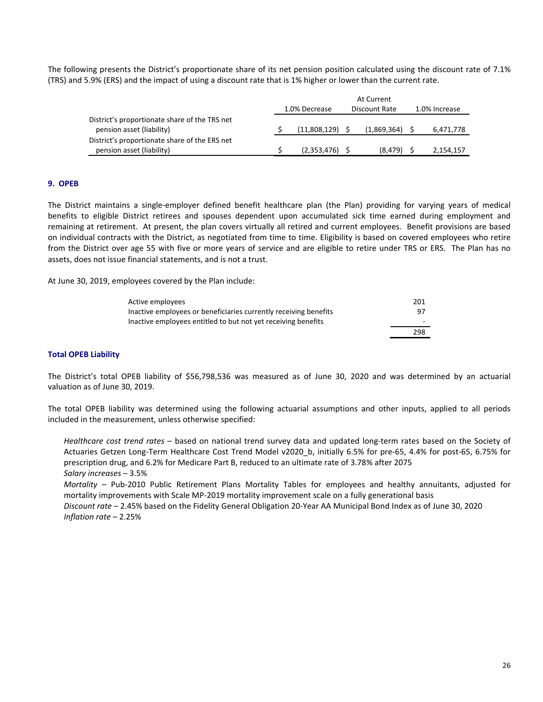The following presents the District's proportionate share of its net pension position calculated using the discount rate of 7.1% (TRS) and 5.9% (ERS) and the impact of using a discount rate that is 1% higher or lower than the current rate.

|                                                                            | At Current                     |  |             |  |               |  |  |  |
|----------------------------------------------------------------------------|--------------------------------|--|-------------|--|---------------|--|--|--|
|                                                                            | 1.0% Decrease<br>Discount Rate |  |             |  | 1.0% Increase |  |  |  |
| District's proportionate share of the TRS net<br>pension asset (liability) | (11,808,129)                   |  | (1,869,364) |  | 6,471,778     |  |  |  |
| District's proportionate share of the ERS net                              |                                |  |             |  |               |  |  |  |
| pension asset (liability)                                                  | (2,353,476)                    |  | (8.479)     |  | 2,154,157     |  |  |  |

#### **9. OPEB**

The District maintains a single-employer defined benefit healthcare plan (the Plan) providing for varying years of medical benefits to eligible District retirees and spouses dependent upon accumulated sick time earned during employment and remaining at retirement. At present, the plan covers virtually all retired and current employees. Benefit provisions are based on individual contracts with the District, as negotiated from time to time. Eligibility is based on covered employees who retire from the District over age 55 with five or more years of service and are eligible to retire under TRS or ERS. The Plan has no assets, does not issue financial statements, and is not a trust.

At June 30, 2019, employees covered by the Plan include:

| Active employees                                                 | 201 |
|------------------------------------------------------------------|-----|
| Inactive employees or beneficiaries currently receiving benefits | 97  |
| Inactive employees entitled to but not yet receiving benefits    |     |
|                                                                  | 298 |

#### **Total OPEB Liability**

The District's total OPEB liability of \$56,798,536 was measured as of June 30, 2020 and was determined by an actuarial valuation as of June 30, 2019.

The total OPEB liability was determined using the following actuarial assumptions and other inputs, applied to all periods included in the measurement, unless otherwise specified:

*Healthcare cost trend rates* – based on national trend survey data and updated long-term rates based on the Society of Actuaries Getzen Long-Term Healthcare Cost Trend Model v2020 b, initially 6.5% for pre-65, 4.4% for post-65, 6.75% for prescription drug, and 6.2% for Medicare Part B, reduced to an ultimate rate of 3.78% after 2075 *Salary increases* – 3.5%

*Mortality* – Pub-2010 Public Retirement Plans Mortality Tables for employees and healthy annuitants, adjusted for mortality improvements with Scale MP-2019 mortality improvement scale on a fully generational basis

*Discount rate* – 2.45% based on the Fidelity General Obligation 20-Year AA Municipal Bond Index as of June 30, 2020 *Inflation rate* – 2.25%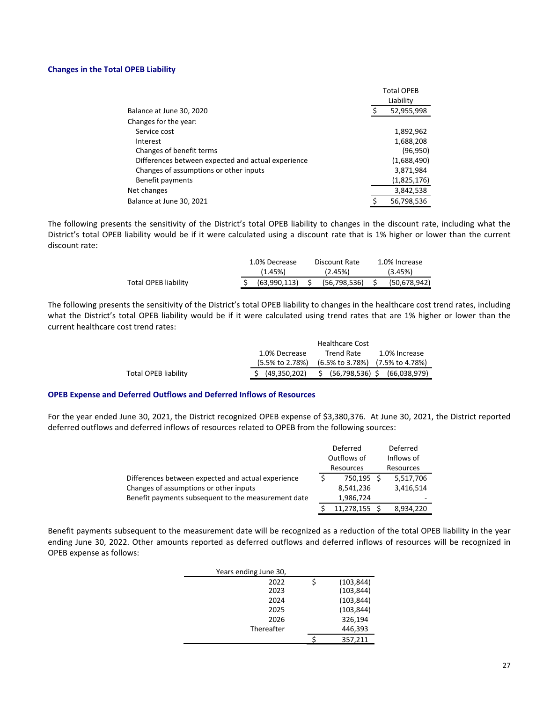#### **Changes in the Total OPEB Liability**

|                                                    |   | <b>Total OPEB</b> |
|----------------------------------------------------|---|-------------------|
|                                                    |   | Liability         |
| Balance at June 30, 2020                           |   | 52,955,998        |
| Changes for the year:                              |   |                   |
| Service cost                                       |   | 1,892,962         |
| Interest                                           |   | 1,688,208         |
| Changes of benefit terms                           |   | (96, 950)         |
| Differences between expected and actual experience |   | (1,688,490)       |
| Changes of assumptions or other inputs             |   | 3,871,984         |
| Benefit payments                                   |   | (1,825,176)       |
| Net changes                                        |   | 3,842,538         |
| Balance at June 30, 2021                           | Ś | 56,798,536        |

The following presents the sensitivity of the District's total OPEB liability to changes in the discount rate, including what the District's total OPEB liability would be if it were calculated using a discount rate that is 1% higher or lower than the current discount rate:

|                      | 1.0% Decrease | Discount Rate | 1.0% Increase |
|----------------------|---------------|---------------|---------------|
|                      | (1.45%)       | (2.45%)       | (3.45%)       |
| Total OPEB liability | (63.990.113)  | (56.798.536)  | (50,678,942)  |

The following presents the sensitivity of the District's total OPEB liability to changes in the healthcare cost trend rates, including what the District's total OPEB liability would be if it were calculated using trend rates that are 1% higher or lower than the current healthcare cost trend rates:

|                      |                 | <b>Healthcare Cost</b>                                    |                                 |
|----------------------|-----------------|-----------------------------------------------------------|---------------------------------|
|                      | 1.0% Decrease   | Trend Rate                                                | 1.0% Increase                   |
|                      | (5.5% to 2.78%) | $(6.5\% \text{ to } 3.78\%)$ $(7.5\% \text{ to } 4.78\%)$ |                                 |
| Total OPEB liability | \$ (49,350,202) |                                                           | \$ (56,798,536) \$ (66,038,979) |

#### **OPEB Expense and Deferred Outflows and Deferred Inflows of Resources**

For the year ended June 30, 2021, the District recognized OPEB expense of \$3,380,376. At June 30, 2021, the District reported deferred outflows and deferred inflows of resources related to OPEB from the following sources:

|                                                     | Deferred<br>Outflows of | Deferred<br>Inflows of |
|-----------------------------------------------------|-------------------------|------------------------|
|                                                     | Resources               | Resources              |
| Differences between expected and actual experience  | 750,195 \$              | 5,517,706              |
| Changes of assumptions or other inputs              | 8,541,236               | 3,416,514              |
| Benefit payments subsequent to the measurement date | 1,986,724               |                        |
|                                                     | 11,278,155 \$           | 8,934,220              |

Benefit payments subsequent to the measurement date will be recognized as a reduction of the total OPEB liability in the year ending June 30, 2022. Other amounts reported as deferred outflows and deferred inflows of resources will be recognized in OPEB expense as follows:

| Years ending June 30, |            |
|-----------------------|------------|
| 2022                  | (103, 844) |
| 2023                  | (103, 844) |
| 2024                  | (103, 844) |
| 2025                  | (103, 844) |
| 2026                  | 326,194    |
| Thereafter            | 446,393    |
|                       | 357,211    |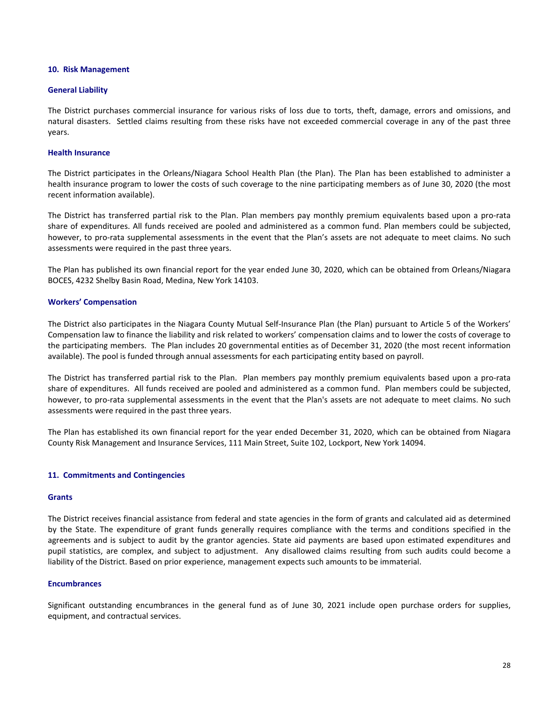#### **10. Risk Management**

#### **General Liability**

The District purchases commercial insurance for various risks of loss due to torts, theft, damage, errors and omissions, and natural disasters. Settled claims resulting from these risks have not exceeded commercial coverage in any of the past three years.

#### **Health Insurance**

The District participates in the Orleans/Niagara School Health Plan (the Plan). The Plan has been established to administer a health insurance program to lower the costs of such coverage to the nine participating members as of June 30, 2020 (the most recent information available).

The District has transferred partial risk to the Plan. Plan members pay monthly premium equivalents based upon a pro-rata share of expenditures. All funds received are pooled and administered as a common fund. Plan members could be subjected, however, to pro-rata supplemental assessments in the event that the Plan's assets are not adequate to meet claims. No such assessments were required in the past three years.

The Plan has published its own financial report for the year ended June 30, 2020, which can be obtained from Orleans/Niagara BOCES, 4232 Shelby Basin Road, Medina, New York 14103.

#### **Workers' Compensation**

The District also participates in the Niagara County Mutual Self-Insurance Plan (the Plan) pursuant to Article 5 of the Workers' Compensation law to finance the liability and risk related to workers' compensation claims and to lower the costs of coverage to the participating members. The Plan includes 20 governmental entities as of December 31, 2020 (the most recent information available). The pool is funded through annual assessments for each participating entity based on payroll.

The District has transferred partial risk to the Plan. Plan members pay monthly premium equivalents based upon a pro-rata share of expenditures. All funds received are pooled and administered as a common fund. Plan members could be subjected, however, to pro-rata supplemental assessments in the event that the Plan's assets are not adequate to meet claims. No such assessments were required in the past three years.

The Plan has established its own financial report for the year ended December 31, 2020, which can be obtained from Niagara County Risk Management and Insurance Services, 111 Main Street, Suite 102, Lockport, New York 14094.

#### **11. Commitments and Contingencies**

#### **Grants**

The District receives financial assistance from federal and state agencies in the form of grants and calculated aid as determined by the State. The expenditure of grant funds generally requires compliance with the terms and conditions specified in the agreements and is subject to audit by the grantor agencies. State aid payments are based upon estimated expenditures and pupil statistics, are complex, and subject to adjustment. Any disallowed claims resulting from such audits could become a liability of the District. Based on prior experience, management expects such amounts to be immaterial.

#### **Encumbrances**

Significant outstanding encumbrances in the general fund as of June 30, 2021 include open purchase orders for supplies, equipment, and contractual services.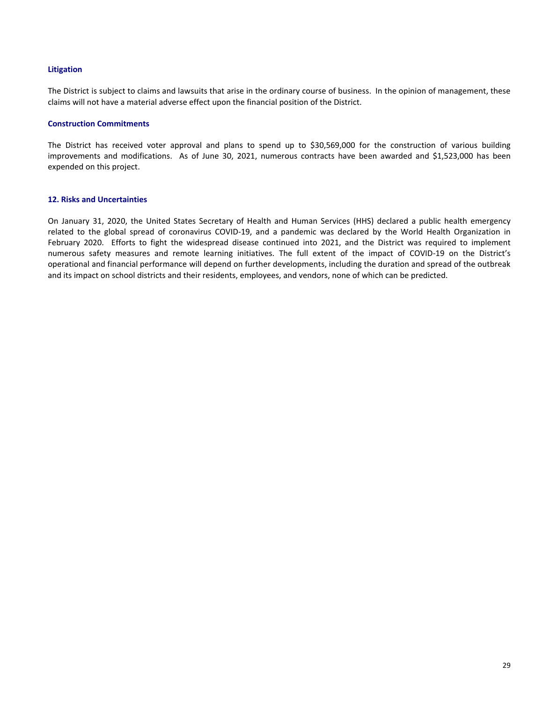#### **Litigation**

The District is subject to claims and lawsuits that arise in the ordinary course of business. In the opinion of management, these claims will not have a material adverse effect upon the financial position of the District.

#### **Construction Commitments**

The District has received voter approval and plans to spend up to \$30,569,000 for the construction of various building improvements and modifications. As of June 30, 2021, numerous contracts have been awarded and \$1,523,000 has been expended on this project.

#### **12. Risks and Uncertainties**

On January 31, 2020, the United States Secretary of Health and Human Services (HHS) declared a public health emergency related to the global spread of coronavirus COVID-19, and a pandemic was declared by the World Health Organization in February 2020. Efforts to fight the widespread disease continued into 2021, and the District was required to implement numerous safety measures and remote learning initiatives. The full extent of the impact of COVID-19 on the District's operational and financial performance will depend on further developments, including the duration and spread of the outbreak and its impact on school districts and their residents, employees, and vendors, none of which can be predicted.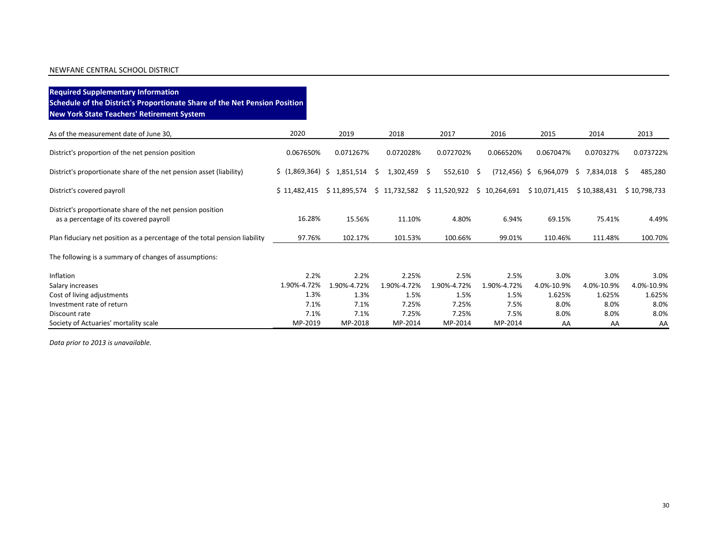## **Required Supplementary Information Schedule of the District's Proportionate Share of the Net Pension Position New York State Teachers' Retirement System**

| As of the measurement date of June 30,                                                               | 2020                      | 2019                | 2018                 | 2017                      | 2016                | 2015               | 2014               | 2013               |
|------------------------------------------------------------------------------------------------------|---------------------------|---------------------|----------------------|---------------------------|---------------------|--------------------|--------------------|--------------------|
| District's proportion of the net pension position                                                    | 0.067650%                 | 0.071267%           | 0.072028%            | 0.072702%                 | 0.066520%           | 0.067047%          | 0.070327%          | 0.073722%          |
| District's proportionate share of the net pension asset (liability)                                  | \$(1,869,364) \$1,851,514 |                     | 1,302,459 \$<br>S    | $552,610$ \$              | $(712, 456)$ \$     | 6,964,079          | \$7,834,018 \$     | 485,280            |
| District's covered payroll                                                                           | \$11,482,415              | \$11,895,574        | \$11,732,582         | \$11,520,922 \$10,264,691 |                     | \$10,071,415       | \$10,388,431       | \$10,798,733       |
| District's proportionate share of the net pension position<br>as a percentage of its covered payroll | 16.28%                    | 15.56%              | 11.10%               | 4.80%                     | 6.94%               | 69.15%             | 75.41%             | 4.49%              |
| Plan fiduciary net position as a percentage of the total pension liability                           | 97.76%                    | 102.17%             | 101.53%              | 100.66%                   | 99.01%              | 110.46%            | 111.48%            | 100.70%            |
| The following is a summary of changes of assumptions:                                                |                           |                     |                      |                           |                     |                    |                    |                    |
| Inflation                                                                                            | 2.2%<br>1.90%-4.72%       | 2.2%<br>1.90%-4.72% | 2.25%<br>1.90%-4.72% | 2.5%<br>1.90%-4.72%       | 2.5%<br>1.90%-4.72% | 3.0%<br>4.0%-10.9% | 3.0%<br>4.0%-10.9% | 3.0%<br>4.0%-10.9% |
| Salary increases<br>Cost of living adjustments                                                       | 1.3%                      | 1.3%                | 1.5%                 | 1.5%                      | 1.5%                | 1.625%             | 1.625%             | 1.625%             |
| Investment rate of return                                                                            | 7.1%                      | 7.1%                | 7.25%                | 7.25%                     | 7.5%                | 8.0%               | 8.0%               | 8.0%               |
| Discount rate                                                                                        | 7.1%                      | 7.1%                | 7.25%                | 7.25%                     | 7.5%                | 8.0%               | 8.0%               | 8.0%               |
| Society of Actuaries' mortality scale                                                                | MP-2019                   | MP-2018             | MP-2014              | MP-2014                   | MP-2014             | AA                 | AA                 | AA                 |

*Data prior to 2013 is unavailable.*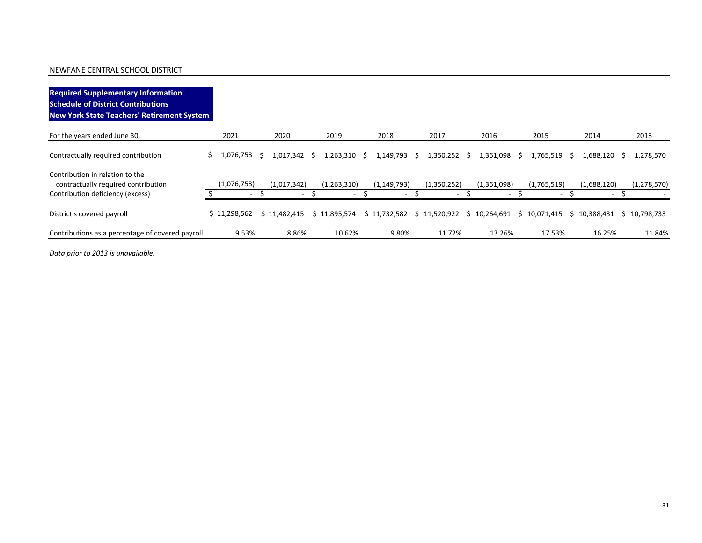| <b>Required Supplementary Information</b><br><b>Schedule of District Contributions</b><br>New York State Teachers' Retirement System |    |                                         |    |                                         |                        |                                                                                              |    |                                         |    |                       |    |                       |                                         |   |               |
|--------------------------------------------------------------------------------------------------------------------------------------|----|-----------------------------------------|----|-----------------------------------------|------------------------|----------------------------------------------------------------------------------------------|----|-----------------------------------------|----|-----------------------|----|-----------------------|-----------------------------------------|---|---------------|
| For the years ended June 30,                                                                                                         |    | 2021                                    |    | 2020                                    | 2019                   | 2018                                                                                         |    | 2017                                    |    | 2016                  |    | 2015                  | 2014                                    |   | 2013          |
| Contractually required contribution                                                                                                  | Ś. | 1,076,753                               | -S | 1,017,342 \$                            | 1,263,310 \$           | 1,149,793                                                                                    | S. | 1,350,252                               | -S | 1,361,098             | -S | 1,765,519 \$          | 1,688,120                               | S | 1,278,570     |
| Contribution in relation to the<br>contractually required contribution<br>Contribution deficiency (excess)                           |    | (1,076,753)<br>$\overline{\phantom{a}}$ |    | (1,017,342)<br>$\overline{\phantom{0}}$ | (1,263,310)            | (1, 149, 793)                                                                                |    | (1,350,252)<br>$\overline{\phantom{a}}$ |    | (1,361,098)<br>$\sim$ |    | (1,765,519)<br>$\sim$ | (1,688,120)<br>$\overline{\phantom{0}}$ |   | (1, 278, 570) |
|                                                                                                                                      |    |                                         |    |                                         |                        |                                                                                              |    |                                         |    |                       |    |                       |                                         |   |               |
| District's covered payroll<br>Contributions as a percentage of covered payroll                                                       |    | \$11,298,562<br>9.53%                   |    | \$11,482,415<br>8.86%                   | \$11.895.574<br>10.62% | $$11,732,582$ $$11,520,922$ $$10,264,691$ $$10,071,415$ $$10,388,431$ $$10,798,733$<br>9.80% |    | 11.72%                                  |    | 13.26%                |    | 17.53%                | 16.25%                                  |   | 11.84%        |

*Data prior to 2013 is unavailable.*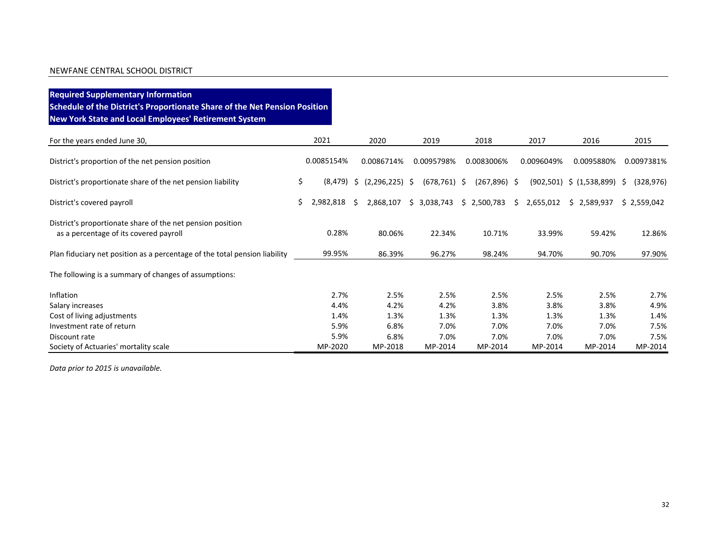**Required Supplementary Information Schedule of the District's Proportionate Share of the Net Pension Position New York State and Local Employees' Retirement System**

| For the years ended June 30,                                                                         |    | 2021       |    | 2020             | 2019            | 2018            | 2017        | 2016                         |    | 2015        |
|------------------------------------------------------------------------------------------------------|----|------------|----|------------------|-----------------|-----------------|-------------|------------------------------|----|-------------|
| District's proportion of the net pension position                                                    |    | 0.0085154% |    | 0.0086714%       | 0.0095798%      | 0.0083006%      | 0.0096049%  | 0.0095880%                   |    | 0.0097381%  |
| District's proportionate share of the net pension liability                                          | \$ | (8, 479)   | Ŝ. | $(2,296,225)$ \$ | $(678, 761)$ \$ | $(267, 896)$ \$ |             | $(902,501)$ \$ $(1,538,899)$ | -S | (328, 976)  |
| District's covered payroll                                                                           | Ś. | 2,982,818  | S. | 2,868,107        | \$3,038,743     | \$2,500,783     | \$2,655,012 | \$2,589,937                  |    | \$2,559,042 |
| District's proportionate share of the net pension position<br>as a percentage of its covered payroll |    | 0.28%      |    | 80.06%           | 22.34%          | 10.71%          | 33.99%      | 59.42%                       |    | 12.86%      |
| Plan fiduciary net position as a percentage of the total pension liability                           |    | 99.95%     |    | 86.39%           | 96.27%          | 98.24%          | 94.70%      | 90.70%                       |    | 97.90%      |
| The following is a summary of changes of assumptions:                                                |    |            |    |                  |                 |                 |             |                              |    |             |
| Inflation                                                                                            |    | 2.7%       |    | 2.5%             | 2.5%            | 2.5%            | 2.5%        | 2.5%                         |    | 2.7%        |
| Salary increases                                                                                     |    | 4.4%       |    | 4.2%             | 4.2%            | 3.8%            | 3.8%        | 3.8%                         |    | 4.9%        |
| Cost of living adjustments                                                                           |    | 1.4%       |    | 1.3%             | 1.3%            | 1.3%            | 1.3%        | 1.3%                         |    | 1.4%        |
| Investment rate of return                                                                            |    | 5.9%       |    | 6.8%             | 7.0%            | 7.0%            | 7.0%        | 7.0%                         |    | 7.5%        |
| Discount rate                                                                                        |    | 5.9%       |    | 6.8%             | 7.0%            | 7.0%            | 7.0%        | 7.0%                         |    | 7.5%        |
| Society of Actuaries' mortality scale                                                                |    | MP-2020    |    | MP-2018          | MP-2014         | MP-2014         | MP-2014     | MP-2014                      |    | MP-2014     |

*Data prior to 2015 is unavailable.*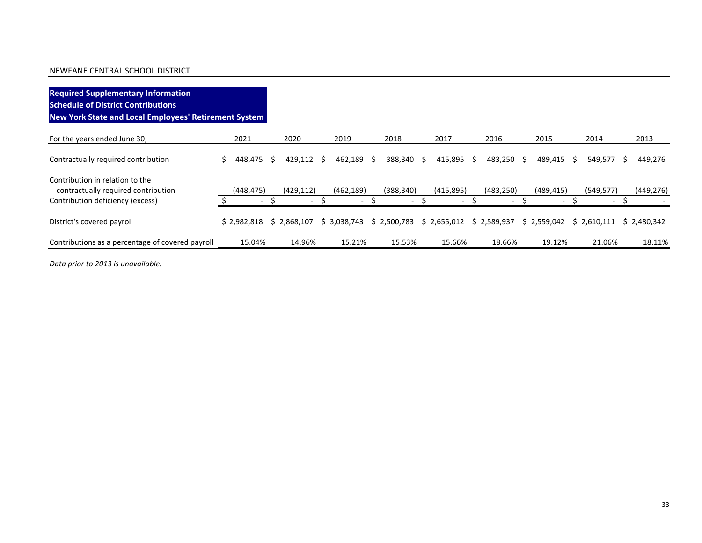| <b>Required Supplementary Information</b><br><b>Schedule of District Contributions</b><br>New York State and Local Employees' Retirement System |                          |   |                          |   |             |    |             |   |             |    |             |    |             |   |                          |    |             |
|-------------------------------------------------------------------------------------------------------------------------------------------------|--------------------------|---|--------------------------|---|-------------|----|-------------|---|-------------|----|-------------|----|-------------|---|--------------------------|----|-------------|
| For the years ended June 30,                                                                                                                    | 2021                     |   | 2020                     |   | 2019        |    | 2018        |   | 2017        |    | 2016        |    | 2015        |   | 2014                     |    | 2013        |
| Contractually required contribution                                                                                                             | 448,475                  | S | 429,112                  | S | 462,189     | S. | 388,340     | S | 415,895     | Ŝ. | 483,250     | S. | 489,415     | S | 549,577                  | S. | 449,276     |
| Contribution in relation to the<br>contractually required contribution                                                                          | (448, 475)               |   | (429, 112)               |   | (462, 189)  |    | (388, 340)  |   | (415,895)   |    | (483.250)   |    | (489, 415)  |   | (549, 577)               |    | (449, 276)  |
| Contribution deficiency (excess)                                                                                                                | $\overline{\phantom{a}}$ |   | $\overline{\phantom{0}}$ |   |             |    |             |   |             |    |             |    |             |   | $\overline{\phantom{0}}$ |    |             |
| District's covered payroll                                                                                                                      | \$2.982.818              |   | \$2.868.107              |   | \$3.038.743 |    | \$2,500,783 |   | \$2,655,012 |    | \$2,589,937 |    | \$2,559,042 |   | \$2.610.111              |    | \$2.480.342 |
| Contributions as a percentage of covered payroll                                                                                                | 15.04%                   |   | 14.96%                   |   | 15.21%      |    | 15.53%      |   | 15.66%      |    | 18.66%      |    | 19.12%      |   | 21.06%                   |    | 18.11%      |

*Data prior to 2013 is unavailable.*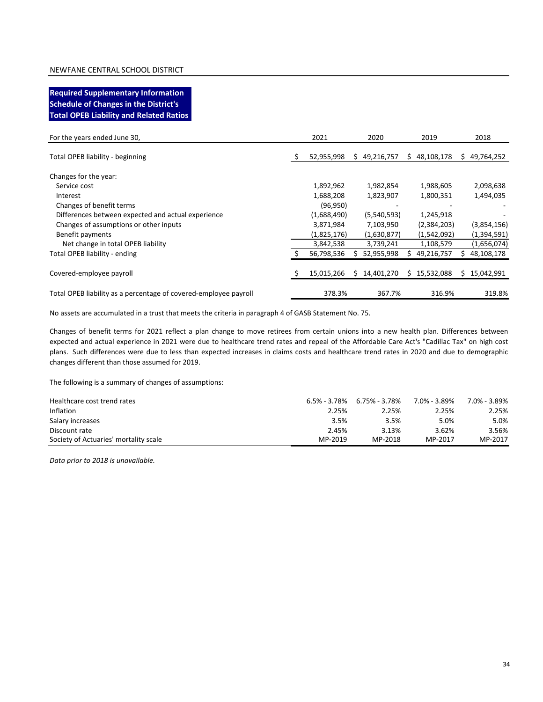## **Required Supplementary Information Schedule of Changes in the District's Total OPEB Liability and Related Ratios**

| For the years ended June 30,                                     | 2021        | 2020             |    | 2019         |    | 2018        |
|------------------------------------------------------------------|-------------|------------------|----|--------------|----|-------------|
| Total OPEB liability - beginning                                 | 52,955,998  | 49,216,757<br>S. | S. | 48,108,178   | S. | 49,764,252  |
| Changes for the year:                                            |             |                  |    |              |    |             |
| Service cost                                                     | 1,892,962   | 1,982,854        |    | 1,988,605    |    | 2,098,638   |
| Interest                                                         | 1,688,208   | 1,823,907        |    | 1,800,351    |    | 1,494,035   |
| Changes of benefit terms                                         | (96, 950)   |                  |    |              |    |             |
| Differences between expected and actual experience               | (1,688,490) | (5,540,593)      |    | 1,245,918    |    |             |
| Changes of assumptions or other inputs                           | 3,871,984   | 7,103,950        |    | (2,384,203)  |    | (3,854,156) |
| Benefit payments                                                 | (1,825,176) | (1,630,877)      |    | (1,542,092)  |    | (1,394,591) |
| Net change in total OPEB liability                               | 3,842,538   | 3,739,241        |    | 1,108,579    |    | (1,656,074) |
| Total OPEB liability - ending                                    | 56,798,536  | 52,955,998       |    | 49,216,757   |    | 48,108,178  |
|                                                                  |             |                  |    |              |    |             |
| Covered-employee payroll                                         | 15,015,266  | 14,401,270       |    | \$15,532,088 | S. | 15,042,991  |
|                                                                  |             |                  |    |              |    |             |
| Total OPEB liability as a percentage of covered-employee payroll | 378.3%      | 367.7%           |    | 316.9%       |    | 319.8%      |

No assets are accumulated in a trust that meets the criteria in paragraph 4 of GASB Statement No. 75.

Changes of benefit terms for 2021 reflect a plan change to move retirees from certain unions into a new health plan. Differences between expected and actual experience in 2021 were due to healthcare trend rates and repeal of the Affordable Care Act's "Cadillac Tax" on high cost plans. Such differences were due to less than expected increases in claims costs and healthcare trend rates in 2020 and due to demographic changes different than those assumed for 2019.

The following is a summary of changes of assumptions:

| Healthcare cost trend rates           | 6.5% - 3.78% | 6.75% - 3.78% | 7.0% - 3.89% | 7.0% - 3.89% |
|---------------------------------------|--------------|---------------|--------------|--------------|
| Inflation                             | 2.25%        | 2.25%         | 2.25%        | 2.25%        |
| Salary increases                      | 3.5%         | 3.5%          | 5.0%         | 5.0%         |
| Discount rate                         | 2.45%        | 3.13%         | 3.62%        | 3.56%        |
| Society of Actuaries' mortality scale | MP-2019      | MP-2018       | MP-2017      | MP-2017      |

*Data prior to 2018 is unavailable.*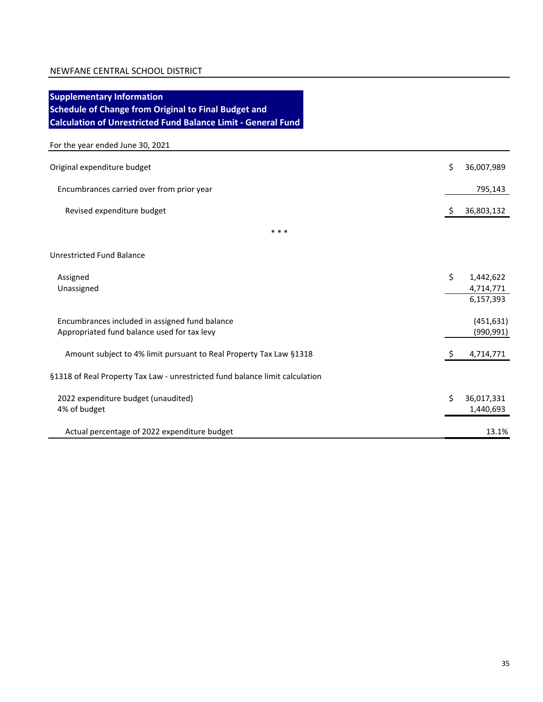| <b>Supplementary Information</b><br><b>Schedule of Change from Original to Final Budget and</b> |    |            |
|-------------------------------------------------------------------------------------------------|----|------------|
| <b>Calculation of Unrestricted Fund Balance Limit - General Fund</b>                            |    |            |
| For the year ended June 30, 2021                                                                |    |            |
| Original expenditure budget                                                                     | \$ | 36,007,989 |
| Encumbrances carried over from prior year                                                       |    | 795,143    |
| Revised expenditure budget                                                                      | \$ | 36,803,132 |
| * * *                                                                                           |    |            |
| <b>Unrestricted Fund Balance</b>                                                                |    |            |
| Assigned                                                                                        | \$ | 1,442,622  |
| Unassigned                                                                                      |    | 4,714,771  |
|                                                                                                 |    | 6,157,393  |
| Encumbrances included in assigned fund balance                                                  |    | (451, 631) |
| Appropriated fund balance used for tax levy                                                     |    | (990, 991) |
| Amount subject to 4% limit pursuant to Real Property Tax Law §1318                              | -S | 4,714,771  |
| §1318 of Real Property Tax Law - unrestricted fund balance limit calculation                    |    |            |
| 2022 expenditure budget (unaudited)                                                             | Ś  | 36,017,331 |
| 4% of budget                                                                                    |    | 1,440,693  |
| Actual percentage of 2022 expenditure budget                                                    |    | 13.1%      |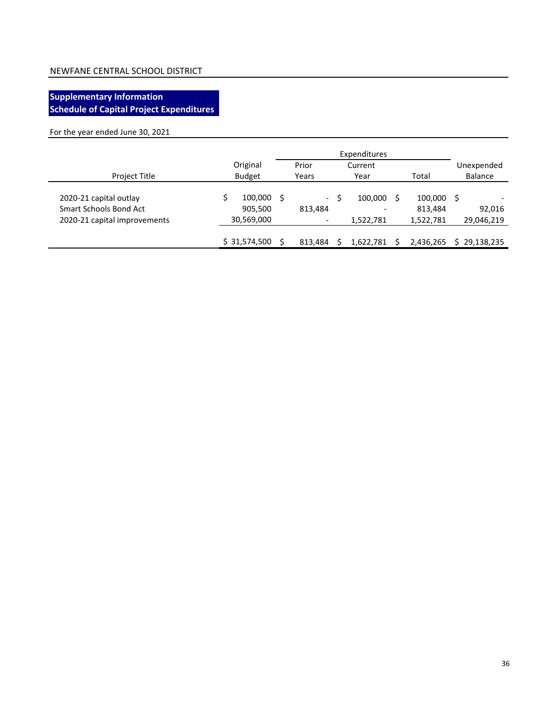## **Supplementary Information Schedule of Capital Project Expenditures**

For the year ended June 30, 2021

|                                                                                         | Original                         |                                                | Prior<br>Current     |                                 | Unexpended                  |       |                |
|-----------------------------------------------------------------------------------------|----------------------------------|------------------------------------------------|----------------------|---------------------------------|-----------------------------|-------|----------------|
| Project Title                                                                           | <b>Budget</b>                    | Years<br>Year                                  |                      |                                 |                             | Total | <b>Balance</b> |
| 2020-21 capital outlay<br><b>Smart Schools Bond Act</b><br>2020-21 capital improvements | 100,000<br>905,500<br>30,569,000 | S.<br>$\sim$ $-$<br>813,484<br>$\qquad \qquad$ | 100,000<br>1,522,781 | 100,000<br>813,484<br>1,522,781 | - S<br>92,016<br>29,046,219 |       |                |
|                                                                                         | \$31,574,500                     | 813,484                                        | 1,622,781            | 2,436,265                       | 29,138,235                  |       |                |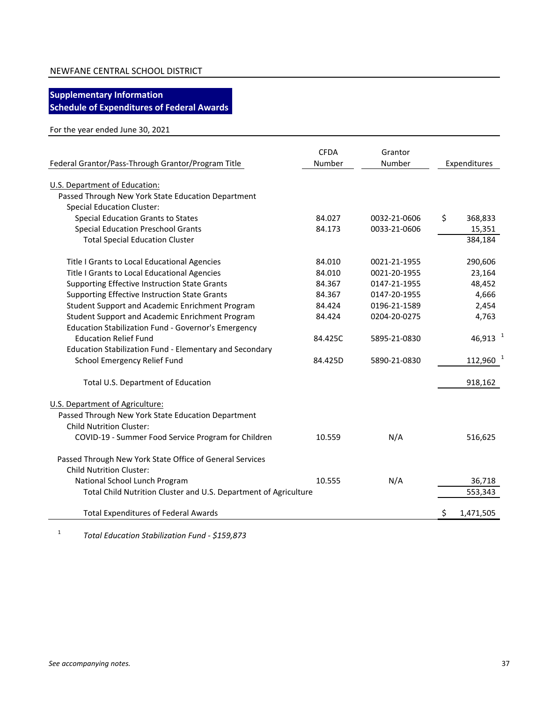## **Supplementary Information**

**Schedule of Expenditures of Federal Awards**

## For the year ended June 30, 2021

| Federal Grantor/Pass-Through Grantor/Program Title               | <b>CFDA</b><br>Number | Grantor<br>Number | Expenditures          |
|------------------------------------------------------------------|-----------------------|-------------------|-----------------------|
| U.S. Department of Education:                                    |                       |                   |                       |
| Passed Through New York State Education Department               |                       |                   |                       |
| <b>Special Education Cluster:</b>                                |                       |                   |                       |
| Special Education Grants to States                               | 84.027                | 0032-21-0606      | \$<br>368,833         |
| <b>Special Education Preschool Grants</b>                        | 84.173                | 0033-21-0606      | 15,351                |
| <b>Total Special Education Cluster</b>                           |                       |                   | 384,184               |
| Title I Grants to Local Educational Agencies                     | 84.010                | 0021-21-1955      | 290,606               |
| Title I Grants to Local Educational Agencies                     | 84.010                | 0021-20-1955      | 23,164                |
| <b>Supporting Effective Instruction State Grants</b>             | 84.367                | 0147-21-1955      | 48,452                |
| Supporting Effective Instruction State Grants                    | 84.367                | 0147-20-1955      | 4,666                 |
| Student Support and Academic Enrichment Program                  | 84.424                | 0196-21-1589      | 2,454                 |
| Student Support and Academic Enrichment Program                  | 84.424                | 0204-20-0275      | 4,763                 |
| Education Stabilization Fund - Governor's Emergency              |                       |                   |                       |
| <b>Education Relief Fund</b>                                     | 84.425C               | 5895-21-0830      | $46,913$ <sup>1</sup> |
| Education Stabilization Fund - Elementary and Secondary          |                       |                   |                       |
| School Emergency Relief Fund                                     | 84.425D               | 5890-21-0830      | 112,960               |
| Total U.S. Department of Education                               |                       |                   | 918,162               |
| U.S. Department of Agriculture:                                  |                       |                   |                       |
| Passed Through New York State Education Department               |                       |                   |                       |
| <b>Child Nutrition Cluster:</b>                                  |                       |                   |                       |
| COVID-19 - Summer Food Service Program for Children              | 10.559                | N/A               | 516,625               |
| Passed Through New York State Office of General Services         |                       |                   |                       |
| <b>Child Nutrition Cluster:</b>                                  |                       |                   |                       |
| National School Lunch Program                                    | 10.555                | N/A               | 36,718                |
| Total Child Nutrition Cluster and U.S. Department of Agriculture |                       |                   | 553,343               |
| <b>Total Expenditures of Federal Awards</b>                      |                       |                   | \$<br>1,471,505       |

1 *Total Education Stabilization Fund - \$159,873*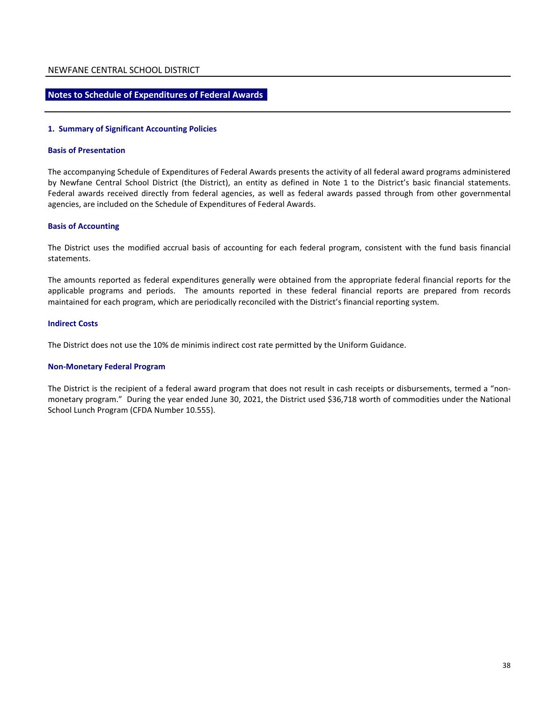#### **Notes to Schedule of Expenditures of Federal Awards**

#### **1. Summary of Significant Accounting Policies**

#### **Basis of Presentation**

The accompanying Schedule of Expenditures of Federal Awards presents the activity of all federal award programs administered by Newfane Central School District (the District), an entity as defined in Note 1 to the District's basic financial statements. Federal awards received directly from federal agencies, as well as federal awards passed through from other governmental agencies, are included on the Schedule of Expenditures of Federal Awards.

#### **Basis of Accounting**

The District uses the modified accrual basis of accounting for each federal program, consistent with the fund basis financial statements.

The amounts reported as federal expenditures generally were obtained from the appropriate federal financial reports for the applicable programs and periods. The amounts reported in these federal financial reports are prepared from records maintained for each program, which are periodically reconciled with the District's financial reporting system.

#### **Indirect Costs**

The District does not use the 10% de minimis indirect cost rate permitted by the Uniform Guidance.

#### **Non-Monetary Federal Program**

The District is the recipient of a federal award program that does not result in cash receipts or disbursements, termed a "nonmonetary program." During the year ended June 30, 2021, the District used \$36,718 worth of commodities under the National School Lunch Program (CFDA Number 10.555).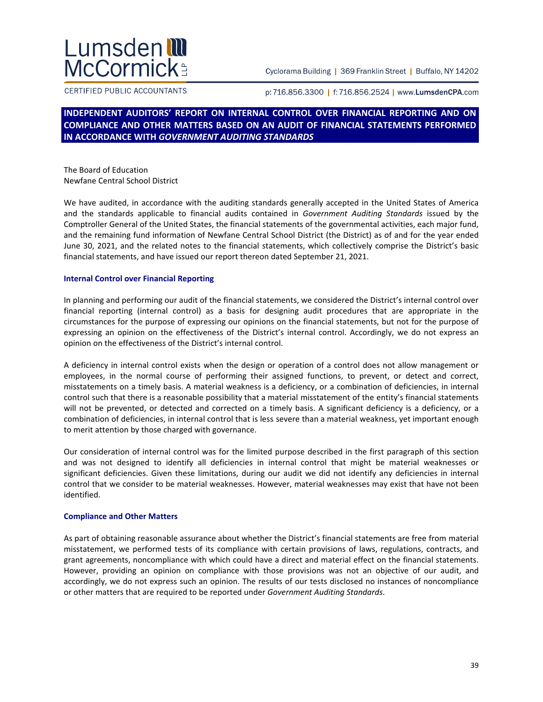# Lumsden **III**<br>McCormick

Cyclorama Building | 369 Franklin Street | Buffalo, NY 14202

CERTIFIED PUBLIC ACCOUNTANTS

p:716.856.3300 | f:716.856.2524 | www.LumsdenCPA.com

## **INDEPENDENT AUDITORS' REPORT ON INTERNAL CONTROL OVER FINANCIAL REPORTING AND ON COMPLIANCE AND OTHER MATTERS BASED ON AN AUDIT OF FINANCIAL STATEMENTS PERFORMED IN ACCORDANCE WITH** *GOVERNMENT AUDITING STANDARDS*

The Board of Education Newfane Central School District

We have audited, in accordance with the auditing standards generally accepted in the United States of America and the standards applicable to financial audits contained in *Government Auditing Standards* issued by the Comptroller General of the United States, the financial statements of the governmental activities, each major fund, and the remaining fund information of Newfane Central School District (the District) as of and for the year ended June 30, 2021, and the related notes to the financial statements, which collectively comprise the District's basic financial statements, and have issued our report thereon dated September 21, 2021.

#### **Internal Control over Financial Reporting**

In planning and performing our audit of the financial statements, we considered the District's internal control over financial reporting (internal control) as a basis for designing audit procedures that are appropriate in the circumstances for the purpose of expressing our opinions on the financial statements, but not for the purpose of expressing an opinion on the effectiveness of the District's internal control. Accordingly, we do not express an opinion on the effectiveness of the District's internal control.

A deficiency in internal control exists when the design or operation of a control does not allow management or employees, in the normal course of performing their assigned functions, to prevent, or detect and correct, misstatements on a timely basis. A material weakness is a deficiency, or a combination of deficiencies, in internal control such that there is a reasonable possibility that a material misstatement of the entity's financial statements will not be prevented, or detected and corrected on a timely basis. A significant deficiency is a deficiency, or a combination of deficiencies, in internal control that is less severe than a material weakness, yet important enough to merit attention by those charged with governance.

Our consideration of internal control was for the limited purpose described in the first paragraph of this section and was not designed to identify all deficiencies in internal control that might be material weaknesses or significant deficiencies. Given these limitations, during our audit we did not identify any deficiencies in internal control that we consider to be material weaknesses. However, material weaknesses may exist that have not been identified.

#### **Compliance and Other Matters**

As part of obtaining reasonable assurance about whether the District's financial statements are free from material misstatement, we performed tests of its compliance with certain provisions of laws, regulations, contracts, and grant agreements, noncompliance with which could have a direct and material effect on the financial statements. However, providing an opinion on compliance with those provisions was not an objective of our audit, and accordingly, we do not express such an opinion. The results of our tests disclosed no instances of noncompliance or other matters that are required to be reported under *Government Auditing Standards*.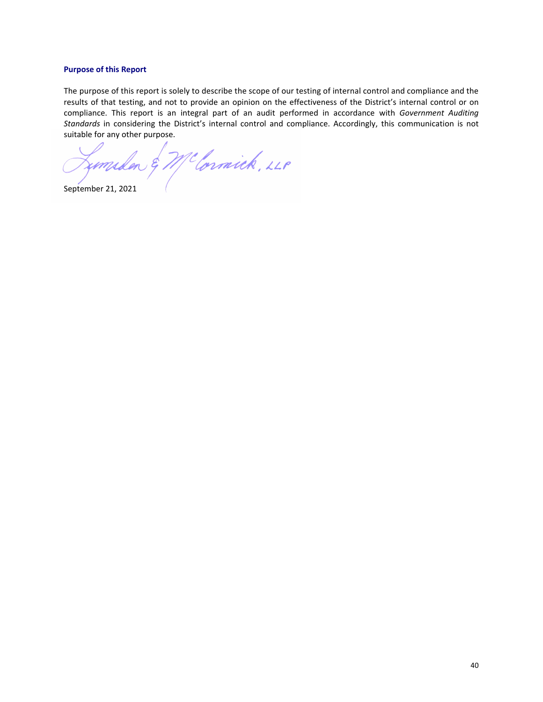#### **Purpose of this Report**

The purpose of this report is solely to describe the scope of our testing of internal control and compliance and the results of that testing, and not to provide an opinion on the effectiveness of the District's internal control or on compliance. This report is an integral part of an audit performed in accordance with *Government Auditing Standards* in considering the District's internal control and compliance. Accordingly, this communication is not suitable for any other purpose.

Limilar & McCornick, 220

September 21, 2021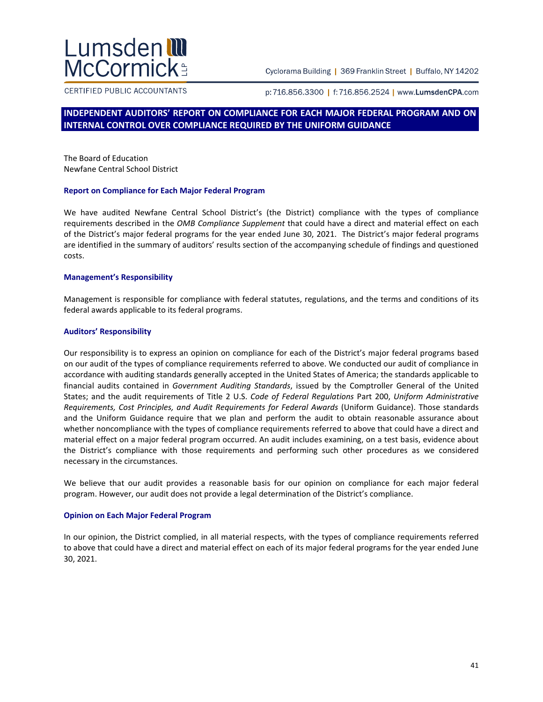## Lumsden **III**<br>McCormick

Cyclorama Building | 369 Franklin Street | Buffalo, NY 14202

CERTIFIED PUBLIC ACCOUNTANTS

p:716.856.3300 | f:716.856.2524 | www.LumsdenCPA.com

## **INDEPENDENT AUDITORS' REPORT ON COMPLIANCE FOR EACH MAJOR FEDERAL PROGRAM AND ON INTERNAL CONTROL OVER COMPLIANCE REQUIRED BY THE UNIFORM GUIDANCE**

The Board of Education Newfane Central School District

#### **Report on Compliance for Each Major Federal Program**

We have audited Newfane Central School District's (the District) compliance with the types of compliance requirements described in the *OMB Compliance Supplement* that could have a direct and material effect on each of the District's major federal programs for the year ended June 30, 2021. The District's major federal programs are identified in the summary of auditors' results section of the accompanying schedule of findings and questioned costs.

#### **Management's Responsibility**

Management is responsible for compliance with federal statutes, regulations, and the terms and conditions of its federal awards applicable to its federal programs.

#### **Auditors' Responsibility**

Our responsibility is to express an opinion on compliance for each of the District's major federal programs based on our audit of the types of compliance requirements referred to above. We conducted our audit of compliance in accordance with auditing standards generally accepted in the United States of America; the standards applicable to financial audits contained in *Government Auditing Standards*, issued by the Comptroller General of the United States; and the audit requirements of Title 2 U.S. *Code of Federal Regulations* Part 200, *Uniform Administrative Requirements, Cost Principles, and Audit Requirements for Federal Awards* (Uniform Guidance). Those standards and the Uniform Guidance require that we plan and perform the audit to obtain reasonable assurance about whether noncompliance with the types of compliance requirements referred to above that could have a direct and material effect on a major federal program occurred. An audit includes examining, on a test basis, evidence about the District's compliance with those requirements and performing such other procedures as we considered necessary in the circumstances.

We believe that our audit provides a reasonable basis for our opinion on compliance for each major federal program. However, our audit does not provide a legal determination of the District's compliance.

#### **Opinion on Each Major Federal Program**

In our opinion, the District complied, in all material respects, with the types of compliance requirements referred to above that could have a direct and material effect on each of its major federal programs for the year ended June 30, 2021.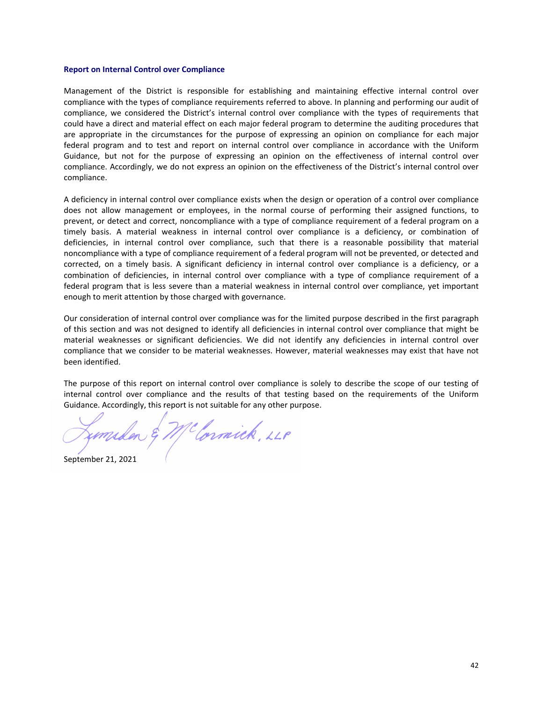#### **Report on Internal Control over Compliance**

Management of the District is responsible for establishing and maintaining effective internal control over compliance with the types of compliance requirements referred to above. In planning and performing our audit of compliance, we considered the District's internal control over compliance with the types of requirements that could have a direct and material effect on each major federal program to determine the auditing procedures that are appropriate in the circumstances for the purpose of expressing an opinion on compliance for each major federal program and to test and report on internal control over compliance in accordance with the Uniform Guidance, but not for the purpose of expressing an opinion on the effectiveness of internal control over compliance. Accordingly, we do not express an opinion on the effectiveness of the District's internal control over compliance.

A deficiency in internal control over compliance exists when the design or operation of a control over compliance does not allow management or employees, in the normal course of performing their assigned functions, to prevent, or detect and correct, noncompliance with a type of compliance requirement of a federal program on a timely basis. A material weakness in internal control over compliance is a deficiency, or combination of deficiencies, in internal control over compliance, such that there is a reasonable possibility that material noncompliance with a type of compliance requirement of a federal program will not be prevented, or detected and corrected, on a timely basis. A significant deficiency in internal control over compliance is a deficiency, or a combination of deficiencies, in internal control over compliance with a type of compliance requirement of a federal program that is less severe than a material weakness in internal control over compliance, yet important enough to merit attention by those charged with governance.

Our consideration of internal control over compliance was for the limited purpose described in the first paragraph of this section and was not designed to identify all deficiencies in internal control over compliance that might be material weaknesses or significant deficiencies. We did not identify any deficiencies in internal control over compliance that we consider to be material weaknesses. However, material weaknesses may exist that have not been identified.

The purpose of this report on internal control over compliance is solely to describe the scope of our testing of internal control over compliance and the results of that testing based on the requirements of the Uniform Guidance. Accordingly, this report is not suitable for any other purpose.

McCornick, LLP

September 21, 2021